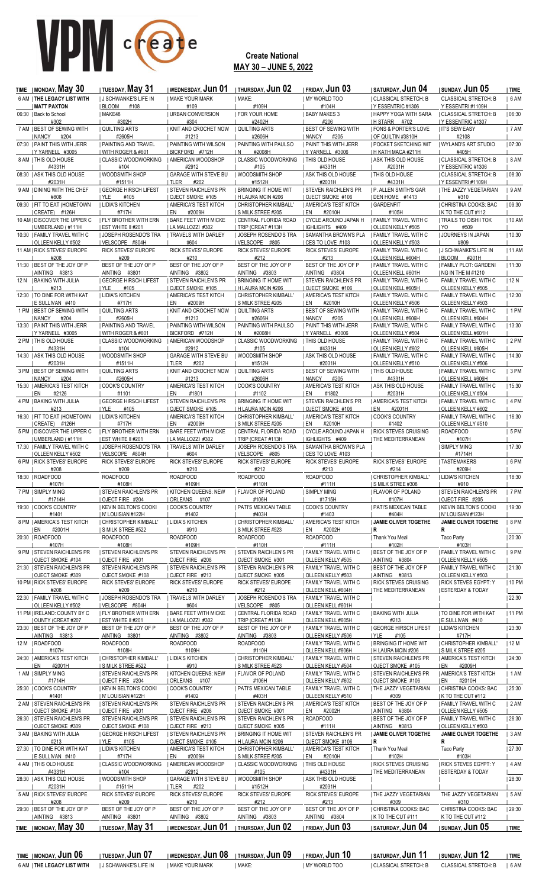

### **Create National MAY 30 – JUNE 5, 2022**

| <b>TIME</b>   MONDAY, May 30                            | <b>I TUESDAY, May 31</b>                            | I WEDNESDAY, Jun 01   THURSDAY, Jun 02              |                                                    | <b>IFRIDAY, Jun 03</b>                            | <b>SATURDAY, JUN 04</b>                              | I SUNDAY, Jun 05                                  | TIME    |
|---------------------------------------------------------|-----------------------------------------------------|-----------------------------------------------------|----------------------------------------------------|---------------------------------------------------|------------------------------------------------------|---------------------------------------------------|---------|
| 6 AM   THE LEGACY LIST WITH                             | <b>J SCHWANKE'S LIFE IN</b>                         | MAKE YOUR MARK                                      | I MAKE:                                            | MY WORLD TOO                                      | CLASSICAL STRETCH: B                                 | CLASSICAL STRETCH: B                              | 6AM     |
| <b>MATT PAXTON</b><br>06:30   Back to School            | BLOOM<br>#108<br>  MAKE48                           | #109<br>  URBAN CONVERSION                          | #109H<br><b>FOR YOUR HOME</b>                      | #104H<br><b>BABY MAKES 3</b>                      | I Y ESSENTRIC #1306<br>I HAPPY YOGA WITH SARA        | Y ESSENTRI#1109H<br>I CLASSICAL STRETCH: B        |         |
| #302                                                    | #302H                                               | #304                                                | #2402H                                             | #206                                              | H STARR #702                                         | Y ESSENTRIC #1307                                 | 06:30   |
| 7 AM   BEST OF SEWING WITH                              | <b>QUILTING ARTS</b>                                | <b>KNIT AND CROCHET NOW</b>                         | <b>QUILTING ARTS</b>                               | <b>BEST OF SEWING WITH</b>                        | <b>  FONS &amp; PORTER'S LOVE</b>                    | <b>IT'S SEW EASY</b>                              | 7AM     |
| NANCY<br>#204                                           | #2605H                                              | #1213                                               | #2606H                                             | <b>I NANCY</b><br>#205                            | OF QUILTIN #3810H                                    | #2108                                             |         |
| 07:30   PAINT THIS WITH JERR<br>Y YARNELL #3005         | <b>  PAINTING AND TRAVEL</b><br>  WITH ROGER & #601 | <b>  PAINTING WITH WILSON</b><br>  BICKFORD #712H   | <b>I PAINTING WITH PAULSO</b><br>#2008H<br>1N      | <b>  PAINT THIS WITH JERR</b><br>Y YARNELL #3006  | <b>I POCKET SKETCHING WIT</b><br>  H KATH MACA #211H | WYLAND'S ART STUDIO<br>#405H                      | 07:30   |
| 8 AM   THIS OLD HOUSE                                   | <b>CLASSIC WOODWORKING</b>                          | <b>AMERICAN WOODSHOP</b>                            | <b>CLASSIC WOODWORKING</b>                         | <b>THIS OLD HOUSE</b>                             | <b>ASK THIS OLD HOUSE</b>                            | CLASSICAL STRETCH: B                              | 8 AM    |
| #4331H                                                  | #104                                                | #2912                                               | #105                                               | #4331H                                            | #2031H                                               | Y ESSENTRIC #1306                                 |         |
| 08:30   ASK THIS OLD HOUSE                              | I WOODSMITH SHOP                                    | <b>GARAGE WITH STEVE BU</b>                         | WOODSMITH SHOP                                     | <b>ASK THIS OLD HOUSE</b>                         | THIS OLD HOUSE                                       | CLASSICAL STRETCH: B                              | 08:30   |
| #2031H<br>9 AM   DINING WITH THE CHEF                   | #1511H<br><b>GEORGE HIRSCH LIFEST</b>               | TLER<br>#202<br><b>STEVEN RAICHLEN'S PR</b>         | #1512H<br><b>I BRINGING IT HOME WIT</b>            | #2031H<br><b>I STEVEN RAICHLEN'S PR</b>           | #4331H<br><b>I P. ALLEN SMITH'S GAR</b>              | <u>IYESSENTRI#1109H</u><br>  THE JAZZY VEGETARIAN | 9AM     |
| #808                                                    | YLE<br>#105                                         | <b>OJECT SMOKE #105</b>                             | H LAURA MCIN #206                                  | <b>OJECT SMOKE #106</b>                           | DEN HOME #1413                                       | #310                                              |         |
| 09:30   FIT TO EAT (HOMETOWN                            | LIDIA'S KITCHEN                                     | AMERICA'S TEST KITCH                                | CHRISTOPHER KIMBALL'                               | <b>AMERICA'S TEST KITCH</b>                       | GARDENFIT                                            | CHRISTINA COOKS: BAC                              | 09:30   |
| CREATE) #126H<br>10 AM   DISCOVER THE UPPER C           | #717H<br><b>I FLY BROTHER WITH ERN</b>              | #2009H<br>EN<br><b>I BARE FEET WITH MICKE</b>       | S MILK STREE #205<br>  CENTRAL FLORIDA ROAD        | #2010H<br>EN<br>  CYCLE AROUND JAPAN H            | #105H<br>  FAMILY TRAVEL WITH C                      | K TO THE CUT #112<br><b>TRAILS TO OISHII TOK</b>  | 10 AM   |
| UMBERLAND (#111H                                        | <b>EST WHITE II #201</b>                            | LA MALLOZZI #302                                    | TRIP (CREAT #113H                                  | IGHLIGHTS #409                                    | <b>OLLEEN KELLY #505</b>                             | #509<br>YO                                        |         |
| 10:30   FAMILY TRAVEL WITH C                            | JOSEPH ROSENDO'S TRA                                | <b>TRAVELS WITH DARLEY</b>                          | JOSEPH ROSENDO'S TRA                               | <b>SAMANTHA BROWN'S PLA</b>                       | <b>  FAMILY TRAVEL WITH C</b>                        | JOURNEYS IN JAPAN                                 | 10:30   |
| <b>OLLEEN KELLY #502</b>                                | VELSCOPE #804H                                      | #604                                                | VELSCOPE #805                                      | <b>CES TO LOVE #103</b>                           | OLLEEN KELLY #503                                    | #809                                              |         |
| 11 AM   RICK STEVES' EUROPE<br>#208                     | RICK STEVES' EUROPE<br>#209                         | RICK STEVES' EUROPE<br>#210                         | RICK STEVES' EUROPE<br>#212                        | RICK STEVES' EUROPE<br>#213                       | FAMILY TRAVEL WITH C<br>I OLLEEN KELL #604H          | <b>J SCHWANKE'S LIFE IN</b><br>  BLOOM<br>#201H   | 11 AM   |
| 11:30   BEST OF THE JOY OF P                            | BEST OF THE JOY OF P                                | BEST OF THE JOY OF P                                | BEST OF THE JOY OF P                               | BEST OF THE JOY OF P                              | I FAMILY TRAVEL WITH C                               | FAMILY PLOT: GARDENI                              | 11:30   |
| AINTING #3813                                           | AINTING #3801                                       | AINTING #3802                                       | AINTING #3803                                      | AINTING #3804                                     | OLLEEN KELL #601H                                    | NG IN THE M #1210                                 |         |
| 12 N   BAKING WITH JULIA<br>#213                        | <b>GEORGE HIRSCH LIFEST</b><br>  YLE<br>#105        | <b>STEVEN RAICHLEN'S PR</b><br>OJECT SMOKE #105     | <b>BRINGING IT HOME WIT</b><br>  H LAURA MCIN #206 | <b>STEVEN RAICHLEN'S PR</b><br>  OJECT SMOKE #106 | FAMILY TRAVEL WITH C<br>  OLLEEN KELL #605H          | FAMILY TRAVEL WITH C<br>OLLEEN KELLY #505         | 12 N    |
| 12:30   TO DINE FOR WITH KAT                            | LIDIA'S KITCHEN                                     | AMERICA'S TEST KITCH                                | CHRISTOPHER KIMBALL'                               | AMERICA'S TEST KITCH                              | FAMILY TRAVEL WITH C                                 | FAMILY TRAVEL WITH C                              | 12:30   |
| I E SULLIVAN #410                                       | #717H                                               | #2009H<br>I EN                                      | <b>S MILK STREE #205</b>                           | #2010H<br>I EN                                    | OLLEEN KELLY #506                                    | OLLEEN KELLY #503                                 |         |
| 1 PM   BEST OF SEWING WITH                              | I QUILTING ARTS                                     | KNIT AND CROCHET NOW                                | I QUILTING ARTS                                    | BEST OF SEWING WITH                               | I FAMILY TRAVEL WITH C                               | FAMILY TRAVEL WITH C                              | $ 1$ PM |
| I NANCY<br>#204<br>13:30   PAINT THIS WITH JERR         | #2605H<br><b>  PAINTING AND TRAVEL</b>              | #1213<br><b>PAINTING WITH WILSON</b>                | #2606H<br><b>  PAINTING WITH PAULSO</b>            | I NANCY<br>#205<br><b>PAINT THIS WITH JERR</b>    | I OLLEEN KELL #606H<br><b>  FAMILY TRAVEL WITH C</b> | OLLEEN KELL #604H<br>FAMILY TRAVEL WITH C         | 13:30   |
| Y YARNELL #3005                                         | WITH ROGER & #601                                   | BICKFORD #712H                                      | #2008H<br>I N                                      | Y YARNELL #3006                                   | <b>OLLEEN KELLY #504</b>                             | OLLEEN KELL #601H                                 |         |
| 2 PM   THIS OLD HOUSE                                   | <b>CLASSIC WOODWORKING</b>                          | AMERICAN WOODSHOP                                   | <b>CLASSIC WOODWORKING</b>                         | <b>THIS OLD HOUSE</b>                             | FAMILY TRAVEL WITH C                                 | FAMILY TRAVEL WITH C                              | 2 PM    |
| #4331H                                                  | #104                                                | #2912                                               | #105                                               | #4331H                                            | OLLEEN KELLY #602                                    | OLLEEN KELL #605H                                 |         |
| 14:30   ASK THIS OLD HOUSE<br>#2031H                    | WOODSMITH SHOP<br>#1511H                            | <b>GARAGE WITH STEVE BU</b><br><b>ITLER</b><br>#202 | WOODSMITH SHOP<br>#1512H                           | <b>ASK THIS OLD HOUSE</b><br>#2031H               | FAMILY TRAVEL WITH C<br>  OLLEEN KELLY #510          | FAMILY TRAVEL WITH C<br>OLLEEN KELLY #506         | 14:30   |
| 3 PM   BEST OF SEWING WITH                              | <b>QUILTING ARTS</b>                                | KNIT AND CROCHET NOW                                | <b>QUILTING ARTS</b>                               | <b>BEST OF SEWING WITH</b>                        | <b>THIS OLD HOUSE</b>                                | FAMILY TRAVEL WITH C                              | 3 PM    |
| <b>NANCY</b><br>#204                                    | #2605H                                              | #1213                                               | #2606H                                             | I NANCY<br>#205                                   | #4331H                                               | OLLEEN KELL #606H                                 |         |
| 15:30   AMERICA'S TEST KITCH<br>I EN<br>#2126           | COOK'S COUNTRY<br>#1101                             | AMERICA'S TEST KITCH<br>I EN<br>#1801               | COOK'S COUNTRY<br>#1102                            | AMERICA'S TEST KITCH<br>I EN<br>#1802             | <b>ASK THIS OLD HOUSE</b><br>#2031H                  | FAMILY TRAVEL WITH C<br>  OLLEEN KELLY #504       | 15:30   |
| 4 PM   BAKING WITH JULIA                                | <b>GEORGE HIRSCH LIFEST</b>                         | <b>STEVEN RAICHLEN'S PR</b>                         | <b>  BRINGING IT HOME WIT</b>                      | <b>STEVEN RAICHLEN'S PR</b>                       | <b>  AMERICA'S TEST KITCH</b>                        | FAMILY TRAVEL WITH C                              | 4 PM    |
| #213                                                    | YLE<br>#105                                         | OJECT SMOKE #105                                    | H LAURA MCIN #206                                  | OJECT SMOKE #106                                  | #2001H<br>  EN                                       | OLLEEN KELLY #602                                 |         |
| 16:30   FIT TO EAT (HOMETOWN                            | LIDIA'S KITCHEN                                     | AMERICA'S TEST KITCH                                | CHRISTOPHER KIMBALL'                               | AMERICA'S TEST KITCH                              | COOK'S COUNTRY                                       | FAMILY TRAVEL WITH C                              | 16:30   |
| CREATE) #126H<br>5 PM   DISCOVER THE UPPER C            | #717H<br><b>I FLY BROTHER WITH ERN</b>              | I EN<br>#2009H<br><b>I BARE FEET WITH MICKE</b>     | <b>S MILK STREE #205</b><br>  CENTRAL FLORIDA ROAD | EN<br>#2010H<br>  CYCLE AROUND JAPAN H            | #1402<br><b>  RICK STEVES CRUISING</b>               | OLLEEN KELLY #510<br><b>ROADFOOD</b>              | 5PM     |
| UMBERLAND (#111H                                        | <b>EST WHITE II #201</b>                            | LA MALLOZZI #302                                    | TRIP (CREAT #113H                                  | IGHLIGHTS #409                                    | THE MEDITERRANEAN                                    | #107H                                             |         |
| 17:30   FAMILY TRAVEL WITH C                            | <b>JOSEPH ROSENDO'S TRA</b>                         | TRAVELS WITH DARLEY                                 | <b>JOSEPH ROSENDO'S TRA</b>                        | I SAMANTHA BROWN'S PLA                            |                                                      | <b>SIMPLY MING</b>                                | 17:30   |
| <b>OLLEEN KELLY #502</b>                                | I VELSCOPE #804H                                    | #604                                                | VELSCOPE #805                                      | I CES TO LOVE #103                                |                                                      | #1714H                                            | $ 6$ PM |
|                                                         |                                                     |                                                     |                                                    |                                                   |                                                      |                                                   |         |
| 6 PM   RICK STEVES' EUROPE                              | RICK STEVES' EUROPE                                 | RICK STEVES' EUROPE                                 | RICK STEVES' EUROPE                                | RICK STEVES' EUROPE                               | RICK STEVES' EUROPE                                  | <b>TASTEMAKERS</b>                                |         |
| #208<br>18:30   ROADFOOD                                | #209<br><b>ROADFOOD</b>                             | #210<br><b>ROADFOOD</b>                             | #212<br><b>ROADFOOD</b>                            | #213<br><b>ROADFOOD</b>                           | #214<br><b>CHRISTOPHER KIMBALL'</b>                  | #209H<br>  LIDIA'S KITCHEN                        | 18:30   |
| #107H                                                   | #108H                                               | #109H                                               | #110H                                              | #111H                                             | <b>S MILK STREE #308</b>                             | #910                                              |         |
| 7 PM   SIMPLY MING                                      | <b>STEVEN RAICHLEN'S PR</b>                         | KITCHEN QUEENS: NEW                                 | <b>  FLAVOR OF POLAND</b>                          | SIMPLY MING                                       | FLAVOR OF POLAND                                     | <b>STEVEN RAICHLEN'S PR</b>                       | 7 PM    |
| #1714H                                                  | OJECT FIRE #204                                     | ORLEANS #107                                        | #106H                                              | #1715H                                            | #107H                                                | OJECT FIRE #205<br><b>KEVIN BELTON'S COOKI</b>    |         |
| 19:30   COOK'S COUNTRY<br>#1401                         | KEVIN BELTON'S COOKI<br>  N' LOUISIAN #122H         | COOK'S COUNTRY<br>#1402                             | PATI'S MEXICAN TABLE<br>#403H                      | COOK'S COUNTRY<br>#1403                           | PATI'S MEXICAN TABLE<br>#404H                        | N' LOUISIAN #123H                                 | 19:30   |
| 8 PM   AMERICA'S TEST KITCH                             | CHRISTOPHER KIMBALL'                                | LIDIA'S KITCHEN                                     | CHRISTOPHER KIMBALL'                               | <b>AMERICA'S TEST KITCH</b>                       | JAMIE OLIVER TOGETHE                                 | JAMIE OLIVER TOGETHE                              | $ 8$ PM |
| EN<br>#2001H                                            | S MILK STREE #522                                   | #910                                                | S MILK STREE #523                                  | #2002H<br>EN                                      | R                                                    | R                                                 |         |
| 20:30   ROADFOOD<br>#107H                               | <b>ROADFOOD</b><br>#108H                            | <b>ROADFOOD</b><br>#109H                            | <b>ROADFOOD</b><br>#110H                           | <b>ROADFOOD</b><br>#111H                          | Thank You Meal<br>#102H                              | Taco Party<br>#103H                               | 20:30   |
| 9 PM   STEVEN RAICHLEN'S PR                             | <b>I STEVEN RAICHLEN'S PR</b>                       | STEVEN RAICHLEN'S PR                                | <b>I STEVEN RAICHLEN'S PR</b>                      | FAMILY TRAVEL WITH C                              | <b>BEST OF THE JOY OF P</b>                          | <b>FAMILY TRAVEL WITH C</b>                       | 9PM     |
| <b>I OJECT SMOKE #104</b>                               | OJECT FIRE #301                                     | OJECT FIRE #208                                     | OJECT SMOKE #301                                   | <b>OLLEEN KELLY #505</b>                          | AINTING #3804                                        | OLLEEN KELLY #505                                 |         |
| 21:30   STEVEN RAICHLEN'S PR                            | STEVEN RAICHLEN'S PR                                | STEVEN RAICHLEN'S PR                                | <b>STEVEN RAICHLEN'S PR</b>                        | FAMILY TRAVEL WITH C                              | <b>BEST OF THE JOY OF P</b>                          | FAMILY TRAVEL WITH C                              | 21:30   |
| OJECT SMOKE #309<br>10 PM   RICK STEVES' EUROPE         | OJECT SMOKE #108<br>RICK STEVES' EUROPE             | OJECT FIRE #213<br>RICK STEVES' EUROPE              | OJECT SMOKE #305<br>RICK STEVES' EUROPE            | OLLEEN KELLY #503<br>  FAMILY TRAVEL WITH C       | AINTING #3813<br><b>I RICK STEVES CRUISING</b>       | OLLEEN KELLY #503<br><b>RICK STEVES EGYPT: Y</b>  | 10 PM   |
| #208                                                    | #209                                                | #210                                                | #212                                               | OLLEEN KELL #604H                                 | <b>I THE MEDITERRANEAN</b>                           | ESTERDAY & TODAY                                  |         |
| 22:30   FAMILY TRAVEL WITH C                            | <b>JOSEPH ROSENDO'S TRA</b>                         | TRAVELS WITH DARLEY                                 | <b>JOSEPH ROSENDO'S TRA</b>                        | FAMILY TRAVEL WITH C                              |                                                      |                                                   | 22:30   |
| OLLEEN KELLY #502<br>11 PM   IRELAND: COUNTY BY C       | VELSCOPE #804H<br><b>FLY BROTHER WITH ERN</b>       | #604<br><b>  BARE FEET WITH MICKE</b>               | VELSCOPE #805<br>  CENTRAL FLORIDA ROAD            | OLLEEN KELL #601H<br>  FAMILY TRAVEL WITH C       | BAKING WITH JULIA                                    | TO DINE FOR WITH KAT                              | 11 PM   |
| OUNTY (CREAT #207                                       | EST WHITE II #201                                   | LA MALLOZZI #302                                    | <u>  TRIP (CREAT #113H</u>                         | OLLEEN KELL #605H                                 | #213                                                 | <b>E SULLIVAN #410</b>                            |         |
| 23:30   BEST OF THE JOY OF P                            | BEST OF THE JOY OF P                                | BEST OF THE JOY OF P                                | BEST OF THE JOY OF P                               | FAMILY TRAVEL WITH C                              | <b>GEORGE HIRSCH LIFEST</b>                          | LIDIA'S KITCHEN                                   | 23:30   |
| AINTING #3813                                           | AINTING #3801                                       | AINTING #3802                                       | AINTING #3803                                      | OLLEEN KELLY #506                                 | YLE<br>#105                                          | #717H                                             |         |
| 12 M   ROADFOOD<br>#107H                                | <b>ROADFOOD</b><br>#108H                            | ROADFOOD<br>#109H                                   | <b>ROADFOOD</b><br>#110H                           | FAMILY TRAVEL WITH C<br>OLLEEN KELL #606H         | <b>BRINGING IT HOME WIT</b><br>  H LAURA MCIN #206   | CHRISTOPHER KIMBALL'<br>S MILK STREE #205         | 12 M    |
| 24:30   AMERICA'S TEST KITCH                            | CHRISTOPHER KIMBALL'                                | LIDIA'S KITCHEN                                     | CHRISTOPHER KIMBALL'                               | FAMILY TRAVEL WITH C                              | <b>STEVEN RAICHLEN'S PR</b>                          | AMERICA'S TEST KITCH                              | 24:30   |
| I EN<br>#2001H                                          | S MILK STREE #522                                   | #910                                                | S MILK STREE #523                                  | OLLEEN KELLY #504                                 | OJECT SMOKE #105                                     | #2009H<br>I EN I                                  |         |
| 1 AM   SIMPLY MING<br>#1714H                            | STEVEN RAICHLEN'S PR<br>  OJECT FIRE #204           | KITCHEN QUEENS: NEW<br>  ORLEANS #107               | FLAVOR OF POLAND<br>#106H                          | FAMILY TRAVEL WITH C<br>  OLLEEN KELLY #602       | <b>STEVEN RAICHLEN'S PR</b><br>  OJECT SMOKE #106    | AMERICA'S TEST KITCH<br>I EN<br>#2010H            | 1AM     |
| 25:30   COOK'S COUNTRY                                  | KEVIN BELTON'S COOKI                                | COOK'S COUNTRY                                      | PATI'S MEXICAN TABLE                               | FAMILY TRAVEL WITH C                              | THE JAZZY VEGETARIAN                                 | CHRISTINA COOKS: BAC                              | 25:30   |
| #1401                                                   | IN' LOUISIAN #122H                                  | #1402                                               | #403H                                              | OLLEEN KELLY #510                                 | #309                                                 | <b>I K TO THE CUT #112</b>                        |         |
| 2 AM   STEVEN RAICHLEN'S PR                             | <b>STEVEN RAICHLEN'S PR</b>                         | STEVEN RAICHLEN'S PR                                | <b>STEVEN RAICHLEN'S PR</b>                        | AMERICA'S TEST KITCH                              | <b>BEST OF THE JOY OF P</b>                          | FAMILY TRAVEL WITH C                              | 2AM     |
| OJECT SMOKE #104<br>26:30   STEVEN RAICHLEN'S PR        | OJECT FIRE #301<br>STEVEN RAICHLEN'S PR             | OJECT FIRE #208<br><b>STEVEN RAICHLEN'S PR</b>      | OJECT SMOKE #301<br><b>STEVEN RAICHLEN'S PR</b>    | EN #2002H<br>  ROADFOOD                           | AINTING #3804<br><b>BEST OF THE JOY OF P</b>         | OLLEEN KELLY #505<br>  FAMILY TRAVEL WITH C       | 26:30   |
| OJECT SMOKE #309                                        | OJECT SMOKE #108                                    | OJECT FIRE #213                                     | OJECT SMOKE #305                                   | #111H                                             | AINTING #3813                                        | OLLEEN KELLY #503                                 |         |
| 3 AM   BAKING WITH JULIA                                | <b>GEORGE HIRSCH LIFEST</b>                         | <b>STEVEN RAICHLEN'S PR</b>                         | <b>BRINGING IT HOME WIT</b>                        | <b>STEVEN RAICHLEN'S PR</b>                       | <b>JAMIE OLIVER TOGETHE</b>                          | JAMIE OLIVER TOGETHE                              | 3AM     |
| #213                                                    | YLE<br>#105                                         | <b>OJECT SMOKE #105</b>                             | <b>I H LAURA MCIN #206</b>                         | <b>OJECT SMOKE #106</b>                           | ⊥R                                                   | R                                                 |         |
| 27:30   TO DINE FOR WITH KAT<br><b>IE SULLIVAN #410</b> | LIDIA'S KITCHEN<br>#717H                            | AMERICA'S TEST KITCH<br>#2009H<br>I EN              | CHRISTOPHER KIMBALL'<br><b>SMILK STREE #205</b>    | AMERICA'S TEST KITCH<br>#2010H<br>I EN            | Thank You Meal<br>#102H                              | Taco Party<br>#103H                               | 27:30   |
| 4 AM   THIS OLD HOUSE                                   | <b>CLASSIC WOODWORKING</b>                          | AMERICAN WOODSHOP                                   | CLASSIC WOODWORKING                                | THIS OLD HOUSE                                    | <b>RICK STEVES CRUISING</b>                          | RICK STEVES EGYPT: Y                              | 4AM     |
| #4331H                                                  | #104                                                | #2912                                               | #105                                               | #4331H                                            | <b>  THE MEDITERRANEAN</b>                           | ESTERDAY & TODAY                                  |         |
| 28:30   ASK THIS OLD HOUSE<br>#2031H                    | WOODSMITH SHOP<br>#1511H                            | <b>GARAGE WITH STEVE BU</b><br>  TLER<br>#202       | WOODSMITH SHOP<br>#1512H                           | ASK THIS OLD HOUSE<br>#2031H                      |                                                      |                                                   | 28:30   |
| 5 AM   RICK STEVES' EUROPE                              | RICK STEVES' EUROPE                                 | RICK STEVES' EUROPE                                 | RICK STEVES' EUROPE                                | RICK STEVES' EUROPE                               | <b>I THE JAZZY VEGETARIAN</b>                        | THE JAZZY VEGETARIAN                              | 5AM     |
| #208                                                    | #209                                                | #210                                                | #212                                               | #213                                              | #309                                                 | #310                                              |         |
| 29:30   BEST OF THE JOY OF P                            | BEST OF THE JOY OF P                                | BEST OF THE JOY OF P                                | BEST OF THE JOY OF P<br>AINTING #3803              | BEST OF THE JOY OF P                              | CHRISTINA COOKS: BAC                                 | CHRISTINA COOKS: BAC                              | 29:30   |
| AINTING #3813<br><b>TIME</b>   MONDAY, May 30           | AINTING #3801<br>I TUESDAY, May 31                  | AINTING #3802<br>I WEDNESDAY, Jun 01                | I THURSDAY, Jun 02                                 | AINTING #3804<br><b>IFRIDAY, Jun 03</b>           | K TO THE CUT #111<br><b>I SATURDAY, JUN 04</b>       | K TO THE CUT #112<br>I SUNDAY, Jun 05             | TIME    |

**TIME | MONDAY, Jun 06 | TUESDAY, Jun 07 | WEDNESDAY, Jun 08 | THURSDAY, Jun 09 | FRIDAY, Jun 10 | SATURDAY, Jun 11 | SUNDAY, Jun 12 | TIME**  | CLASSICAL STRETCH: B CLASSICAL STRETCH: B | 6 AM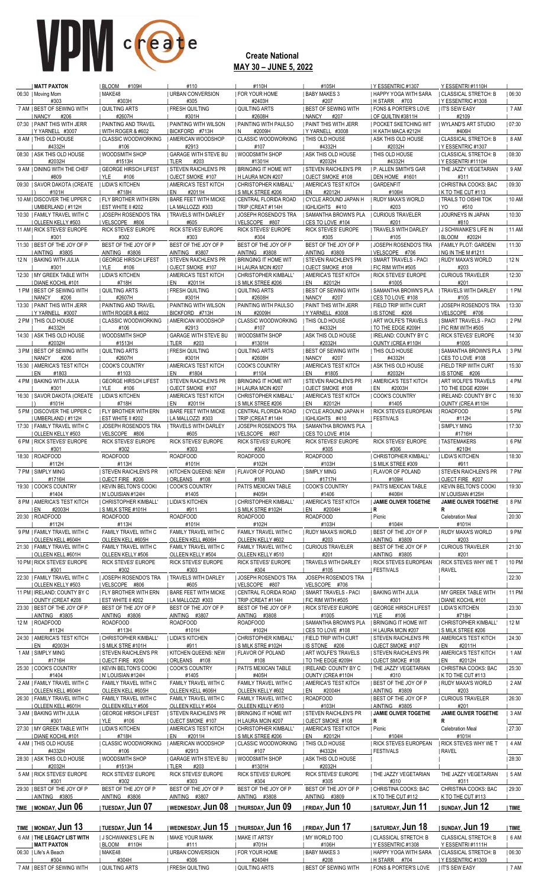| MATT PAXTON<br>06:30   Moving Mom                        | <b>BLOOM</b><br>#109H<br>  MAKE48                              | #110<br><b>URBAN CONVERSION</b>                        | #110H<br><b>FOR YOUR HOME</b>                  | #105H<br><b>BABY MAKES 3</b>                      | I Y ESSENTRIC #1307<br>I HAPPY YOGA WITH SARA            | Y ESSENTRI#1110H<br>  CLASSICAL STRETCH: B          | 06:30       |
|----------------------------------------------------------|----------------------------------------------------------------|--------------------------------------------------------|------------------------------------------------|---------------------------------------------------|----------------------------------------------------------|-----------------------------------------------------|-------------|
| #303                                                     | #303H                                                          | #305                                                   | #2403H                                         | #207                                              | H STARR #703                                             | Y ESSENTRIC #1308                                   |             |
| 7 AM   BEST OF SEWING WITH<br>  NANCY<br>#206            | <b>QUILTING ARTS</b><br>#2607H                                 | <b>FRESH QUILTING</b><br>#301H                         | <b>QUILTING ARTS</b><br>#2608H                 | <b>BEST OF SEWING WITH</b><br>  NANCY<br>#207     | <b>  FONS &amp; PORTER'S LOVE</b><br>  OF QUILTIN #3811H | <b>I IT'S SEW EASY</b><br>#2109                     | 7 AM        |
| 07:30   PAINT THIS WITH JERR<br>IYYARNELL #3007          | PAINTING AND TRAVEL<br>  WITH ROGER & #602                     | <b>PAINTING WITH WILSON</b><br>BICKFORD #713H          | <b>PAINTING WITH PAULSO</b><br>#2009H<br>I N   | <b>PAINT THIS WITH JERR</b><br>IYYARNELL #3008    | I POCKET SKETCHING WIT<br>I H KATH MACA #212H            | WYLAND'S ART STUDIO<br>#406H                        | 07:30       |
| 8 AM   THIS OLD HOUSE                                    | CLASSIC WOODWORKING                                            | AMERICAN WOODSHOP                                      | <b>CLASSIC WOODWORKING</b>                     | <b>THIS OLD HOUSE</b>                             | ASK THIS OLD HOUSE                                       | <b>CLASSICAL STRETCH: B</b>                         | 8 AM        |
| #4332H<br>08:30   ASK THIS OLD HOUSE                     | #106<br>  WOODSMITH SHOP                                       | #2913<br><b>GARAGE WITH STEVE BU</b>                   | #107<br>  WOODSMITH SHOP                       | #4332H<br><b>ASK THIS OLD HOUSE</b>               | #2032H<br><b>THIS OLD HOUSE</b>                          | Y ESSENTRIC #1307<br>  CLASSICAL STRETCH: B         | 08:30       |
| #2032H<br>9 AM   DINING WITH THE CHEF                    | #1513H<br><b>I GEORGE HIRSCH LIFEST</b>                        | TLER<br>#203<br><b>STEVEN RAICHLEN'S PR</b>            | #1301H<br><b>I BRINGING IT HOME WIT</b>        | #2032H<br><b>STEVEN RAICHLEN'S PR</b>             | #4332H<br><b>I P. ALLEN SMITH'S GAR</b>                  | IY ESSENTRI#1110H<br>  THE JAZZY VEGETARIAN         | 9 AM        |
| #809<br>09:30   SAVOR DAKOTA (CREATE                     | I YLE<br>#106<br><b>I LIDIA'S KITCHEN</b>                      | OJECT SMOKE #107<br>I AMERICA'S TEST KITCH             | H LAURA MCIN #207<br>  CHRISTOPHER KIMBALL'    | OJECT SMOKE #108<br><b>AMERICA'S TEST KITCH</b>   | DEN HOME #1601<br><b>GARDENFIT</b>                       | #311<br>  CHRISTINA COOKS: BAC                      | 09:30       |
| #101H                                                    | #718H                                                          | #2011H<br>I EN                                         | IS MILK STREE #206                             | #2012H<br>I EN                                    | #106H                                                    | K TO THE CUT #113                                   |             |
| 10 AM   DISCOVER THE UPPER C<br>I UMBERLAND (#112H       | <b>I FLY BROTHER WITH ERN</b><br><b>I EST WHITE II #202</b>    | <b>  BARE FEET WITH MICKE</b><br>  LA MALLOZZI #303    | CENTRAL FLORIDA ROAD<br>  TRIP (CREAT #114H    | I CYCLE AROUND JAPAN H<br>IGHLIGHTS #410          | <b>RUDY MAXA'S WORLD</b><br>#203                         | <b>TRAILS TO OISHII TOK</b><br>I YO<br>#510         | 10 AM       |
| 10:30   FAMILY TRAVEL WITH C<br>  OLLEEN KELLY #503      | <b>JOSEPH ROSENDO'S TRA</b><br>VELSCOPE #806                   | <b>I TRAVELS WITH DARLEY</b><br>#605                   | JOSEPH ROSENDO'S TRA<br>VELSCOPE #807          | <b>  SAMANTHA BROWN'S PLA</b><br>CES TO LOVE #104 | <b>CURIOUS TRAVELER</b><br>#201                          | JOURNEYS IN JAPAN<br>#810                           | 10:30       |
| 11 AM   RICK STEVES' EUROPE<br>#301                      | RICK STEVES' EUROPE<br>#302                                    | RICK STEVES' EUROPE<br>#303                            | RICK STEVES' EUROPE<br>#304                    | <b>RICK STEVES' EUROPE</b><br>#305                | TRAVELS WITH DARLEY<br>#105                              | I J SCHWANKE'S LIFE IN<br>  BLOOM<br>#202H          | 11 AM       |
| 11:30   BEST OF THE JOY OF P                             | BEST OF THE JOY OF P                                           | BEST OF THE JOY OF P                                   | BEST OF THE JOY OF P                           | BEST OF THE JOY OF P                              | <b>JOSEPH ROSENDO'S TRA</b>                              | FAMILY PLOT: GARDENI                                | 11:30       |
| AINTING #3805<br>12 N I BAKING WITH JULIA                | AINTING #3806<br><b>GEORGE HIRSCH LIFEST</b>                   | AINTING #3807<br><b>STEVEN RAICHLEN'S PR</b>           | AINTING #3808<br><b>I BRINGING IT HOME WIT</b> | AINTING #3809<br><b>STEVEN RAICHLEN'S PR</b>      | VELSCOPE #706<br>  SMART TRAVELS - PACI                  | I NG IN THE M #1211<br>  RUDY MAXA'S WORLD          | 12N         |
| #301<br>12:30   MY GREEK TABLE WITH                      | I YLE<br>#106<br>  LIDIA'S KITCHEN                             | OJECT SMOKE #107<br><b>  AMERICA'S TEST KITCH</b>      | H LAURA MCIN #207<br>  CHRISTOPHER KIMBALL'    | OJECT SMOKE #108<br>  AMERICA'S TEST KITCH        | I FIC RIM WITH #505<br>  RICK STEVES' EUROPE             | #203<br><b>CURIOUS TRAVELER</b>                     | 12:30       |
| I DIANE KOCHIL #101<br>1 PM   BEST OF SEWING WITH        | #718H<br><b>QUILTING ARTS</b>                                  | #2011H<br>I EN<br><b>FRESH QUILTING</b>                | I S MILK STREE #206                            | #2012H<br>I EN<br><b>I BEST OF SEWING WITH</b>    | #1005<br><b>SAMANTHA BROWN'S PLA</b>                     | #201<br><b>I TRAVELS WITH DARLEY</b>                | 1 PM        |
| NANCY<br>#206                                            | #2607H                                                         | #301H                                                  | QUILTING ARTS<br>#2608H                        | I NANCY<br>#207                                   | CES TO LOVE #108                                         | #105                                                |             |
| 13:30   PAINT THIS WITH JERR<br>IY YARNELL #3007         | <b>  PAINTING AND TRAVEL</b><br><u>I WITH ROGER &amp; #602</u> | PAINTING WITH WILSON<br>BICKFORD #713H                 | PAINTING WITH PAULSO<br>IN.<br>#2009H          | <b>  PAINT THIS WITH JERR</b><br>YYARNELL #3008   | <b>  FIELD TRIP WITH CURT</b><br>IS STONE #206           | <b>JOSEPH ROSENDO'S TRA</b><br>  VELSCOPE #706      | 13:30       |
| 2 PM   THIS OLD HOUSE<br>#4332H                          | <b>CLASSIC WOODWORKING</b><br>#106                             | I AMERICAN WOODSHOP<br>#2913                           | <b>CLASSIC WOODWORKING</b><br>#107             | <b>I THIS OLD HOUSE</b><br>#4332H                 | <b>  ART WOLFE'S TRAVELS</b><br>TO THE EDGE #209H        | SMART TRAVELS - PACI<br>  FIC RIM WITH #505         | 2 PM        |
| 14:30   ASK THIS OLD HOUSE                               | <b>WOODSMITH SHOP</b>                                          | <b>GARAGE WITH STEVE BU</b>                            | <b>WOODSMITH SHOP</b>                          | <b>ASK THIS OLD HOUSE</b>                         | I IRELAND: COUNTY BY C                                   | <b>RICK STEVES' EUROPE</b>                          | 14:30       |
| #2032H<br>3 PM   BEST OF SEWING WITH                     | #1513H<br><b>QUILTING ARTS</b>                                 | I TLER<br>#203<br><b>FRESH QUILTING</b>                | #1301H<br><b>QUILTING ARTS</b>                 | #2032H<br><b>I BEST OF SEWING WITH</b>            | OUNTY (CREA #110H<br>THIS OLD HOUSE                      | #1005<br><b>SAMANTHA BROWN'S PLA</b>                | 3PM         |
| NANCY<br>#206<br>15:30   AMERICA'S TEST KITCH            | #2607H<br><b>COOK'S COUNTRY</b>                                | #301H<br>  AMERICA'S TEST KITCH                        | #2608H<br>COOK'S COUNTRY                       | NANCY<br>#207<br>  AMERICA'S TEST KITCH           | #4332H<br><b>ASK THIS OLD HOUSE</b>                      | CES TO LOVE #108<br>  FIELD TRIP WITH CURT          | 15:30       |
| I EN<br>#1803<br>4 PM   BAKING WITH JULIA                | #1103<br><b>I GEORGE HIRSCH LIFEST</b>                         | #1804<br>I EN<br>I STEVEN RAICHLEN'S PR                | #1104<br><b>I BRINGING IT HOME WIT</b>         | #1805<br>I EN<br><b>I STEVEN RAICHLEN'S PR</b>    | #2032H<br><b>  AMERICA'S TEST KITCH</b>                  | IS STONE #206<br>  ART WOLFE'S TRAVELS              | 4 PM        |
| #301<br>16:30   SAVOR DAKOTA (CREATE                     | I YLE<br>#106<br><b>I LIDIA'S KITCHEN</b>                      | <b>OJECT SMOKE #107</b><br><b>AMERICA'S TEST KITCH</b> | H LAURA MCIN #207<br>  CHRISTOPHER KIMBALL'    | <b>OJECT SMOKE #108</b><br>  AMERICA'S TEST KITCH | #2003H<br>I EN<br><b>COOK'S COUNTRY</b>                  | TO THE EDGE #209H<br>I IRELAND: COUNTY BY C         | 16:30       |
| #101H                                                    | #718H                                                          | #2011H<br>I EN                                         | S MILK STREE #206                              | EN<br>#2012H                                      | #1405                                                    | OUNTY (CREA #110H                                   |             |
| 5 PM   DISCOVER THE UPPER C<br>  UMBERLAND (#112H        | <b>I FLY BROTHER WITH ERN</b><br>  EST WHITE II #202           | <b>I BARE FEET WITH MICKE</b><br>  LA MALLOZZI #303    | CENTRAL FLORIDA ROAD<br>  TRIP (CREAT #114H    | CYCLE AROUND JAPAN H<br>  IGHLIGHTS #410          | <b>  RICK STEVES EUROPEAN</b><br><b>FESTIVALS</b>        | ROADFOOD<br>#112H                                   | 5 PM        |
| 17:30   FAMILY TRAVEL WITH C<br><b>OLLEEN KELLY #503</b> | <b>JOSEPH ROSENDO'S TRA</b><br>VELSCOPE #806                   | <b>  TRAVELS WITH DARLEY</b><br>#605                   | <b>JOSEPH ROSENDO'S TRA</b><br>VELSCOPE #807   | <b>SAMANTHA BROWN'S PLA</b><br>I CES TO LOVE #104 |                                                          | <b>SIMPLY MING</b><br>#1716H                        | 17:30       |
| 6 PM   RICK STEVES' EUROPE<br>#301                       | RICK STEVES' EUROPE<br>#302                                    | RICK STEVES' EUROPE<br>#303                            | RICK STEVES' EUROPE<br>#304                    | RICK STEVES' EUROPE<br>#305                       | RICK STEVES' EUROPE<br>#306                              | TASTEMAKERS<br>#210H                                | 6 PM        |
| 18:30   ROADFOOD<br>#112H                                | <b>ROADFOOD</b><br>#113H                                       | <b>ROADFOOD</b><br>#101H                               | <b>ROADFOOD</b><br>#102H                       | <b>ROADFOOD</b><br>#103H                          | CHRISTOPHER KIMBALL'<br>S MILK STREE #309                | LIDIA'S KITCHEN<br>#911                             | 18:30       |
| 7 PM   SIMPLY MING                                       | <b>I STEVEN RAICHLEN'S PR</b>                                  | <b>KITCHEN QUEENS: NEW</b>                             | <b>  FLAVOR OF POLAND</b>                      | <b>SIMPLY MING</b>                                | <b>I FLAVOR OF POLAND</b>                                | <b>STEVEN RAICHLEN'S PR</b>                         | 7 PM        |
| #1716H<br>19:30   COOK'S COUNTRY                         | OJECT FIRE #206<br><b>I KEVIN BELTON'S COOKI</b>               | ORLEANS #108<br><b>COOK'S COUNTRY</b>                  | #108<br><b>I PATI'S MEXICAN TABLE</b>          | #1717H<br><b>COOK'S COUNTRY</b>                   | #109H<br><b>  PATI'S MEXICAN TABLE</b>                   | OJECT FIRE #207<br><b>I KEVIN BELTON'S COOKI</b>    | 19:30       |
| #1404<br>8 PM   AMERICA'S TEST KITCH                     | IN' LOUISIAN #124H<br>  CHRISTOPHER KIMBALL'                   | #1405<br><b>I LIDIA'S KITCHEN</b>                      | #405H<br>  CHRISTOPHER KIMBALL'                | #1406<br><b>AMERICA'S TEST KITCH</b>              | #406H<br><b>JAMIE OLIVER TOGETHE</b>                     | IN' LOUISIAN #125H<br><b>JAMIE OLIVER TOGETHE</b>   | 8 PM        |
| I EN<br>#2003H<br>20:30   ROADFOOD                       | <b>SMILK STRE #101H</b><br><b>ROADFOOD</b>                     | #911<br><b>ROADFOOD</b>                                | S MILK STRE #102H<br><b>ROADFOOD</b>           | #2004H<br>I EN<br><b>ROADFOOD</b>                 | R<br>  Picnic                                            | R<br><b>Celebration Meal</b>                        | 20:30       |
| #112H<br>9 PM   FAMILY TRAVEL WITH C                     | #113H<br>FAMILY TRAVEL WITH C                                  | #101H<br>FAMILY TRAVEL WITH C                          | #102H<br>FAMILY TRAVEL WITH C                  | #103H<br>  RUDY MAXA'S WORLD                      | #104H<br><b>BEST OF THE JOY OF P</b>                     | #101H<br>  RUDY MAXA'S WORLD                        | 9 PM        |
| OLLEEN KELL #604H<br>21:30   FAMILY TRAVEL WITH C        | OLLEEN KELL #605H<br>FAMILY TRAVEL WITH C                      | OLLEEN KELL #606H<br>FAMILY TRAVEL WITH C              | OLLEEN KELLY #602<br>FAMILY TRAVEL WITH C      | #203<br><b>CURIOUS TRAVELER</b>                   | AINTING #3809<br><b>BEST OF THE JOY OF P</b>             | #203<br><b>CURIOUS TRAVELER</b>                     | 21:30       |
| <b>I OLLEEN KELL #601H</b>                               | OLLEEN KELLY #506                                              | OLLEEN KELLY #504                                      | OLLEEN KELLY #510                              | #201                                              | AINTING #3805                                            | #201                                                |             |
| 10 PM   RICK STEVES' EUROPE<br>#301                      | <b>RICK STEVES' EUROPE</b><br>#302                             | RICK STEVES' EUROPE<br>#303                            | RICK STEVES' EUROPE<br>#304                    | <b>TRAVELS WITH DARLEY</b><br>#105                | <b>I RICK STEVES EUROPEAN</b><br><b>FESTIVALS</b>        | <b>RICK STEVES WHY WE T</b><br><b>RAVEL</b>         | 10 PM       |
| 22:30   FAMILY TRAVEL WITH C<br>  OLLEEN KELLY #503      | <b>I JOSEPH ROSENDO'S TRA</b><br>  VELSCOPE #806               | <b>  TRAVELS WITH DARLEY</b><br>#605                   | <b>JOSEPH ROSENDO'S TRA</b><br>VELSCOPE #807   | JOSEPH ROSENDO'S TRA<br>VELSCOPE #706             |                                                          |                                                     | 22:30       |
| 11 PM   IRELAND: COUNTY BY C<br>OUNTY (CREAT #208        | <b>I FLY BROTHER WITH ERN</b><br>  EST WHITE II #202           | <b>I BARE FEET WITH MICKE</b><br>LA MALLOZZI #303      | CENTRAL FLORIDA ROAD<br>TRIP (CREAT #114H      | SMART TRAVELS - PACI<br>FIC RIM WITH #505         | <b>BAKING WITH JULIA</b><br>#301                         | <b>I MY GREEK TABLE WITH</b><br>  DIANE KOCHIL #101 | 11 PM       |
| 23:30   BEST OF THE JOY OF P<br>AINTING #3805            | BEST OF THE JOY OF P<br>AINTING #3806                          | BEST OF THE JOY OF P<br>AINTING #3807                  | BEST OF THE JOY OF P<br>AINTING #3808          | RICK STEVES' EUROPE<br>#1005                      | <b>GEORGE HIRSCH LIFEST</b><br>I YLE<br>#106             | LIDIA'S KITCHEN<br>#718H                            | 23:30       |
| 12 M   ROADFOOD                                          | <b>ROADFOOD</b>                                                | <b>ROADFOOD</b>                                        | <b>ROADFOOD</b>                                | <b>I SAMANTHA BROWN'S PLA</b>                     | <b>I BRINGING IT HOME WIT</b>                            | CHRISTOPHER KIMBALL'                                | 12 M        |
| #112H<br>24:30   AMERICA'S TEST KITCH                    | #113H<br><b>CHRISTOPHER KIMBALL'</b>                           | #101H<br><b>LIDIA'S KITCHEN</b>                        | #102H<br>  CHRISTOPHER KIMBALL'                | I CES TO LOVE #108<br>  FIELD TRIP WITH CURT      | H LAURA MCIN #207<br><b>STEVEN RAICHLEN'S PR</b>         | <b>S MILK STREE #206</b><br>  AMERICA'S TEST KITCH  | 24:30       |
| I EN<br>#2003H<br>1 AM   SIMPLY MING                     | I S MILK STRE #101H<br><b>STEVEN RAICHLEN'S PR</b>             | #911<br>  KITCHEN QUEENS: NEW                          | I S MILK STRE #102H<br>  FLAVOR OF POLAND      | IS STONE #206<br>  ART WOLFE'S TRAVELS            | OJECT SMOKE #107<br>  STEVEN RAICHLEN'S PR               | I EN<br>#2011H<br>  AMERICA'S TEST KITCH            | 1 AM        |
| #1716H                                                   | OJECT FIRE #206                                                | ORLEANS<br>#108                                        | #108                                           | TO THE EDGE #209H                                 | OJECT SMOKE #108                                         | #2012H<br>I EN                                      |             |
| 25:30   COOK'S COUNTRY<br>#1404                          | <b>KEVIN BELTON'S COOKI</b><br>IN' LOUISIAN #124H              | I COOK'S COUNTRY<br>#1405                              | PATI'S MEXICAN TABLE<br>#405H                  | I IRELAND: COUNTY BY C<br>  OUNTY (CREA #110H     | THE JAZZY VEGETARIAN<br>#310                             | CHRISTINA COOKS: BAC<br>K TO THE CUT#113            | 25:30       |
| 2 AM   FAMILY TRAVEL WITH C<br>  OLLEEN KELL #604H       | FAMILY TRAVEL WITH C<br>OLLEEN KELL #605H                      | FAMILY TRAVEL WITH C<br>OLLEEN KELL #606H              | FAMILY TRAVEL WITH C<br>OLLEEN KELLY #602      | <b>AMERICA'S TEST KITCH</b><br>#2004H<br>  EN     | <b>BEST OF THE JOY OF P</b><br>  AINTING #3809           | <b>I RUDY MAXA'S WORLD</b><br>#203                  | 2 AM        |
| 26:30   FAMILY TRAVEL WITH C<br>OLLEEN KELL #601H        | FAMILY TRAVEL WITH C<br>OLLEEN KELLY #506                      | FAMILY TRAVEL WITH C<br>OLLEEN KELLY #504              | FAMILY TRAVEL WITH C<br>OLLEEN KELLY #510      | ROADFOOD<br>#103H                                 | <b>BEST OF THE JOY OF P</b><br>AINTING #3805             | <b>CURIOUS TRAVELER</b><br>#201                     | 26:30       |
| 3 AM   BAKING WITH JULIA<br>#301                         | GEORGE HIRSCH LIFEST<br>  YLE<br>#106                          | <b>STEVEN RAICHLEN'S PR</b><br>OJECT SMOKE #107        | Bringing it home wit<br>  H LAURA MCIN #207    | <b>STEVEN RAICHLEN'S PR</b><br>OJECT SMOKE #108   | <b>JAMIE OLIVER TOGETHE</b><br>  R                       | JAMIE OLIVER TOGETHE<br>R                           | 3 AM        |
| 27:30   MY GREEK TABLE WITH                              | <b>I LIDIA'S KITCHEN</b>                                       | <b>AMERICA'S TEST KITCH</b>                            | CHRISTOPHER KIMBALL'                           | <b>  AMERICA'S TEST KITCH</b>                     | Picnic                                                   | <b>Celebration Meal</b>                             | 27:30       |
| DIANE KOCHIL #101<br>4 AM   THIS OLD HOUSE               | #718H<br><b>CLASSIC WOODWORKING</b>                            | #2011H<br>I EN<br>  AMERICAN WOODSHOP                  | I S MILK STREE #206<br>  CLASSIC WOODWORKING   | #2012H<br>I EN<br><b>THIS OLD HOUSE</b>           | #104H<br><b>RICK STEVES EUROPEAN</b>                     | #101H<br><b>RICK STEVES WHY WE T</b>                | 4 AM        |
| #4332H<br>28:30   ASK THIS OLD HOUSE                     | #106<br>  WOODSMITH SHOP                                       | #2913<br><b>GARAGE WITH STEVE BU</b>                   | #107<br><b>WOODSMITH SHOP</b>                  | #4332H<br><b>ASK THIS OLD HOUSE</b>               | <b>  FESTIVALS</b>                                       | <b>RAVEL</b>                                        | 28:30       |
| #2032H<br>5 AM   RICK STEVES' EUROPE                     | #1513H<br><b>RICK STEVES' EUROPE</b>                           | I TLER<br>#203<br>RICK STEVES' EUROPE                  | #1301H<br><b>RICK STEVES' EUROPE</b>           | #2032H<br>RICK STEVES' EUROPE                     | THE JAZZY VEGETARIAN                                     | THE JAZZY VEGETARIAN                                | 5 AM        |
| #301<br>29:30   BEST OF THE JOY OF P                     | #302<br>BEST OF THE JOY OF P                                   | #303<br>BEST OF THE JOY OF P                           | #304<br>BEST OF THE JOY OF P                   | #305<br>BEST OF THE JOY OF P                      | #310<br>  CHRISTINA COOKS: BAC                           | #311<br>CHRISTINA COOKS: BAC                        | 29:30       |
| AINTING #3805<br>TIME   MONDAY, Jun 06                   | AINTING #3806<br>i tuesday. <b>Jun 07</b>                      | AINTING #3807<br>  wednesday, <b>Jun 08</b>            | AINTING #3808<br>I THURSDAY, Jun 09            | AINTING #3809<br>  friday, <b>Jun 10</b>          | I K TO THE CUT #112<br>i saturday. <b>Jun 11</b>         | K TO THE CUT #113<br> sunday, <b>Jun 12</b>         | <b>TIME</b> |
|                                                          |                                                                |                                                        |                                                |                                                   |                                                          |                                                     |             |
| TIME   MONDAY, Jun 13                                    | <b>ITUESDAY, JUN 14</b>                                        | I WEDNESDAY, Jun 15   THURSDAY, Jun 16                 |                                                | <b>IFRIDAY, Jun 17</b>                            | <b>SATURDAY, JUN 18</b>                                  | sunday, <b>Jun 19</b>                               | TIME        |
| 6 AM   THE LEGACY LIST WITH<br><b>MATT PAXTON</b>        | I J SCHWANKE'S LIFE IN<br><b>I BLOOM</b><br>#110H              | <b>I MAKE YOUR MARK</b><br>#111                        | <b>I MAKE IT ARTSY</b><br>#701H                | MY WORLD TOO<br>#106H                             | CLASSICAL STRETCH: B<br>Y ESSENTRIC #1308                | <b>CLASSICAL STRETCH: B</b><br>Y ESSENTRI#1111H     | 6 AM        |
| 06:30   Life's A Beach<br>#304                           | MAKE48<br>#304H                                                | URBAN CONVERSION<br>#306                               | <b>FOR YOUR HOME</b><br>#2404H                 | <b>BABY MAKES 3</b><br>#208                       | I HAPPY YOGA WITH SARA<br>H STARR #704                   | CLASSICAL STRETCH: B<br>  Y ESSENTRIC #1309         | 06:30       |
| 7 AM   BEST OF SEWING WITH                               | QUILTING ARTS                                                  | <b>FRESH QUILTING</b>                                  | QUILTING ARTS                                  | <b>BEST OF SEWING WITH</b>                        | <b>I FONS &amp; PORTER'S LOVE</b>                        | <b>I IT'S SEW EASY</b>                              | 7 AM        |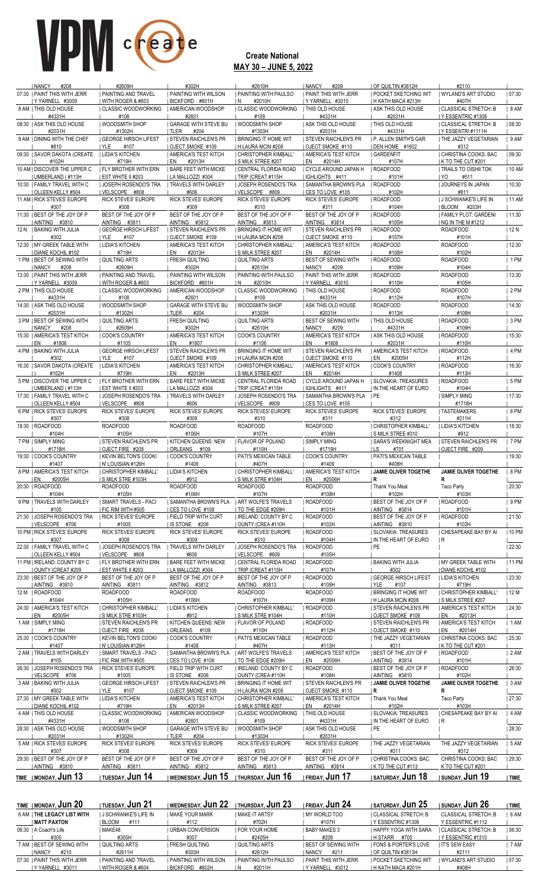| <b>I NANCY</b><br>#208                                   | #2609H                                             | #302H                                              | #2610H                                                    | <b>I NANCY</b><br>#209                                     | I OF QUILTIN #3812H                                | #2110                                       |         |
|----------------------------------------------------------|----------------------------------------------------|----------------------------------------------------|-----------------------------------------------------------|------------------------------------------------------------|----------------------------------------------------|---------------------------------------------|---------|
| 07:30 I PAINT THIS WITH JERR                             | I PAINTING AND TRAVEL                              | <b>PAINTING WITH WILSON</b>                        | I PAINTING WITH PAULSO                                    | I PAINT THIS WITH JERR                                     | I POCKET SKETCHING WIT                             | I WYLAND'S ART STUDIO                       | 07:30   |
| Y YARNELL #3009<br>8 AM I THIS OLD HOUSE                 | WITH ROGER & #603                                  | BICKFORD #801H                                     | #2010H<br>1 N<br>I CLASSIC WOODWORKING                    | Y YARNELL #3010<br><b>I THIS OLD HOUSE</b>                 | H KATH MACA #213H<br>I ASK THIS OLD HOUSE          | #407H<br><b>CLASSICAL STRETCH: B</b>        | 8 AM    |
| #4331H                                                   | CLASSIC WOODWORKING<br>#108                        | AMERICAN WOODSHOP<br>#2601                         | #109                                                      | #4331H                                                     | #2031H                                             | Y ESSENTRIC #1308                           |         |
| 08:30   ASK THIS OLD HOUSE                               | <b>WOODSMITH SHOP</b>                              | <b>GARAGE WITH STEVE BU</b>                        | <b>WOODSMITH SHOP</b>                                     | <b>ASK THIS OLD HOUSE</b>                                  | THIS OLD HOUSE                                     | I CLASSICAL STRETCH: B                      | 08:30   |
| #2031H                                                   | #1302H                                             | I TLER<br>#204                                     | #1303H                                                    | #2031H                                                     | #4331H                                             | IY ESSENTRI#1111H                           |         |
| 9 AM I DINING WITH THE CHEF<br>#810                      | <b>GEORGE HIRSCH LIFEST</b><br>#107<br>I YLE       | <b>STEVEN RAICHLEN'S PR</b><br>OJECT SMOKE #109    | <b>BRINGING IT HOME WIT</b><br><b>I H LAURA MCIN #208</b> | <b>I STEVEN RAICHLEN'S PR</b><br><b>I OJECT SMOKE #110</b> | <b>I P. ALLEN SMITH'S GAR</b><br>I DEN HOME #1602  | THE JAZZY VEGETARIAN<br>#312                | 9 AM    |
| 09:30   SAVOR DAKOTA (CREATE                             | <b>I LIDIA'S KITCHEN</b>                           | AMERICA'S TEST KITCH                               | CHRISTOPHER KIMBALL'                                      | <b>AMERICA'S TEST KITCH</b>                                | GARDENFIT                                          | CHRISTINA COOKS: BAC                        | 09:30   |
| #102H                                                    | #719H                                              | #2013H<br>EN                                       | I S MILK STREE #207                                       | I EN<br>#2014H                                             | #107H                                              | K TO THE CUT #201                           |         |
| 10 AM   DISCOVER THE UPPER C                             | <b>I FLY BROTHER WITH ERN</b>                      | <b>I BARE FEET WITH MICKE</b>                      | CENTRAL FLORIDA ROAD                                      | I CYCLE AROUND JAPAN H                                     | <b>ROADFOOD</b>                                    | TRAILS TO OISHII TOK                        | 10 AM   |
| UMBERLAND (#113H<br>10:30   FAMILY TRAVEL WITH C         | EST WHITE II #203<br><b>I JOSEPH ROSENDO'S TRA</b> | I LA MALLOZZI #304<br><b>I TRAVELS WITH DARLEY</b> | TRIP (CREAT #115H<br><b>JOSEPH ROSENDO'S TRA</b>          | IGHLIGHTS #411<br>I SAMANTHA BROWN'S PLA                   | #101H<br>I ROADFOOD                                | #511<br>I YO.<br><b>JOURNEYS IN JAPAN</b>   | 10:30   |
| OLLEEN KELLY #504                                        | IVELSCOPE #808                                     | #606                                               | I VELSCOPE #809                                           | I CES TO LOVE #105                                         | #102H                                              | #811                                        |         |
| 11 AM   RICK STEVES' EUROPE                              | RICK STEVES' EUROPE                                | RICK STEVES' EUROPE                                | RICK STEVES' EUROPE                                       | RICK STEVES' EUROPE                                        | <b>ROADFOOD</b>                                    | <b>J SCHWANKE'S LIFE IN</b>                 | 11 AM   |
| #307<br>11:30   BEST OF THE JOY OF P                     | #308<br>BEST OF THE JOY OF P                       | #309<br>BEST OF THE JOY OF P                       | #310<br>BEST OF THE JOY OF P                              | #311<br>BEST OF THE JOY OF P                               | #104H<br><b>ROADFOOD</b>                           | I BLOOM<br>#203H<br>  FAMILY PLOT: GARDENI  |         |
| AINTING #3810                                            | AINTING #3811                                      | AINTING #3812                                      | AINTING #3813                                             | AINTING #3814                                              | #105H                                              | NG IN THE M #1212                           | 11:30   |
| 12 N   BAKING WITH JULIA                                 | <b>GEORGE HIRSCH LIFEST</b>                        | <b>STEVEN RAICHLEN'S PR</b>                        | I BRINGING IT HOME WIT                                    | I STEVEN RAICHLEN'S PR                                     | <b>ROADFOOD</b>                                    | <b>ROADFOOD</b>                             | 12 N    |
| #302                                                     | YLE<br>#107                                        | OJECT SMOKE #109                                   | H LAURA MCIN #208                                         | OJECT SMOKE #110                                           | #107H                                              | #101H                                       |         |
| 12:30   MY GREEK TABLE WITH                              | <b>I LIDIA'S KITCHEN</b><br>#719H                  | AMERICA'S TEST KITCH<br>#2013H<br>I EN             | CHRISTOPHER KIMBALL'                                      | AMERICA'S TEST KITCH<br>I EN                               | <b>ROADFOOD</b>                                    | <b>ROADFOOD</b>                             | 12:30   |
| <b>DIANE KOCHIL #102</b><br>1 PM   BEST OF SEWING WITH   | <b>QUILTING ARTS</b>                               | <b>FRESH QUILTING</b>                              | I S MILK STREE #207<br>I QUILTING ARTS                    | #2014H<br><b>BEST OF SEWING WITH</b>                       | #108H<br>ROADFOOD                                  | #102H<br><b>ROADFOOD</b>                    | $ 1$ PM |
| <b>I NANCY</b><br>#208                                   | #2609H                                             | #302H                                              | #2610H                                                    | <b>NANCY</b><br>#209                                       | #109H                                              | #104H                                       |         |
| 13:30   PAINT THIS WITH JERR                             | <b>I PAINTING AND TRAVEL</b>                       | <b>I PAINTING WITH WILSON</b>                      | <b>  PAINTING WITH PAULSO</b>                             | <b>  PAINT THIS WITH JERR</b>                              | <b>ROADFOOD</b>                                    | <b>ROADFOOD</b>                             | 13:30   |
| IYYARNELL #3009<br>2 PM   THIS OLD HOUSE                 | WITH ROGER & #603<br>  CLASSIC WOODWORKING         | BICKFORD #801H<br><b>I AMERICAN WOODSHOP</b>       | IN.<br>#2010H<br>I CLASSIC WOODWORKING                    | IY YARNELL #3010<br><b>I THIS OLD HOUSE</b>                | #110H<br><b>ROADFOOD</b>                           | #105H<br><b>ROADFOOD</b>                    | 2 PM    |
| #4331H                                                   | #108                                               | #2601                                              | #109                                                      | #4331H                                                     | #112H                                              | #107H                                       |         |
| 14:30   ASK THIS OLD HOUSE                               | <b>WOODSMITH SHOP</b>                              | <b>GARAGE WITH STEVE BU</b>                        | I WOODSMITH SHOP                                          | I ASK THIS OLD HOUSE                                       | ROADFOOD                                           | <b>ROADFOOD</b>                             | 14:30   |
| #2031H                                                   | #1302H                                             | <b>TLER</b><br>#204                                | #1303H                                                    | #2031H                                                     | #113H                                              | #108H                                       |         |
| 3 PM I BEST OF SEWING WITH<br>  NANCY                    | <b>QUILTING ARTS</b><br>#2609H                     | <b>FRESH QUILTING</b><br>#302H                     | <b>QUILTING ARTS</b><br>#2610H                            | <b>BEST OF SEWING WITH</b><br>  NANCY<br>#209              | <b>THIS OLD HOUSE</b>                              | ROADFOOD<br>#109H                           | 3 PM    |
| #208<br>15:30   AMERICA'S TEST KITCH                     | <b>COOK'S COUNTRY</b>                              | AMERICA'S TEST KITCH                               | <b>COOK'S COUNTRY</b>                                     | <b>AMERICA'S TEST KITCH</b>                                | #4331H<br>ASK THIS OLD HOUSE                       | <b>ROADFOOD</b>                             | 15:30   |
| EN<br>#1806                                              | #1105                                              | #1807<br>I EN                                      | #1106                                                     | I EN<br>#1808                                              | #2031H                                             | #110H                                       |         |
| 4 PM   BAKING WITH JULIA                                 | I GEORGE HIRSCH LIFEST                             | <b>STEVEN RAICHLEN'S PR</b>                        | <b>BRINGING IT HOME WIT</b>                               | <b>STEVEN RAICHLEN'S PR</b>                                | <b>AMERICA'S TEST KITCH</b>                        | <b>ROADFOOD</b>                             | 4 PM    |
| #302<br>16:30   SAVOR DAKOTA (CREATE                     | I YLE<br>#107<br><b>I LIDIA'S KITCHEN</b>          | OJECT SMOKE #109                                   | H LAURA MCIN #208                                         | OJECT SMOKE #110<br><b>  AMERICA'S TEST KITCH</b>          | #2005H<br>I EN<br><b>COOK'S COUNTRY</b>            | #112H<br><b>ROADFOOD</b>                    | 16:30   |
| #102H                                                    | #719H                                              | AMERICA'S TEST KITCH<br>#2013H<br>EN               | CHRISTOPHER KIMBALL'<br>I S MILK STREE #207               | #2014H<br>I EN                                             | #1408                                              | #113H                                       |         |
| 5 PM   DISCOVER THE UPPER C                              | <b>I FLY BROTHER WITH ERN</b>                      | <b>I BARE FEET WITH MICKE</b>                      | CENTRAL FLORIDA ROAD                                      | I CYCLE AROUND JAPAN H                                     | SLOVAKIA: TREASURES                                | ROADFOOD                                    | 5 PM    |
| UMBERLAND (#113H                                         | EST WHITE II #203                                  | LA MALLOZZI #304                                   | TRIP (CREAT #115H                                         | IGHLIGHTS #411                                             | I IN THE HEART OF EURO                             | #104H                                       |         |
| 17:30   FAMILY TRAVEL WITH C<br><b>OLLEEN KELLY #504</b> | <b>JOSEPH ROSENDO'S TRA</b><br>VELSCOPE #808       | <b>  TRAVELS WITH DARLEY</b><br>#606               | <b>JOSEPH ROSENDO'S TRA</b><br>VELSCOPE #809              | SAMANTHA BROWN'S PLA   PE<br>CES TO LOVE #105              |                                                    | <b>SIMPLY MING</b><br>#1718H                | 17:30   |
| 6 PM   RICK STEVES' EUROPE                               | RICK STEVES' EUROPE                                | RICK STEVES' EUROPE                                | RICK STEVES' EUROPE                                       | RICK STEVES' EUROPE                                        | RICK STEVES' EUROPE                                | TASTEMAKERS                                 | 6 PM    |
| #307                                                     | #308                                               | #309                                               | #310                                                      | #311                                                       | #312                                               | #211H                                       |         |
| 18:30   ROADFOOD                                         | ROADFOOD                                           | <b>ROADFOOD</b>                                    | <b>ROADFOOD</b>                                           | <b>ROADFOOD</b>                                            | CHRISTOPHER KIMBALL'                               | <b>I LIDIA'S KITCHEN</b>                    | 18:30   |
| #104H<br>7 PM   SIMPLY MING                              | #105H<br>  STEVEN RAICHLEN'S PR                    | #106H<br><b>KITCHEN QUEENS: NEW</b>                | #107H<br><b>I FLAVOR OF POLAND</b>                        | #108H<br><b>SIMPLY MING</b>                                | <b>S MILK STREE #310</b><br>I SARA'S WEEKNIGHT MEA | #912<br><b>STEVEN RAICHLEN'S PR</b>         | 7 PM    |
| #1718H                                                   | <b>I OJECT FIRE #208</b>                           | ORLEANS #109                                       | #110H                                                     | #1719H                                                     | <b>ILS</b><br>#701                                 | OJECT FIRE #209                             |         |
| 19:30   COOK'S COUNTRY                                   | <b>I KEVIN BELTON'S COOKI</b>                      | <b>COOK'S COUNTRY</b>                              | <b>I PATI'S MEXICAN TABLE</b>                             | <b>COOK'S COUNTRY</b>                                      | <b>I PATI'S MEXICAN TABLE</b>                      |                                             | 19:30   |
| #1407<br>8 PM   AMERICA'S TEST KITCH                     | N' LOUISIAN #126H<br>  CHRISTOPHER KIMBALL'        | #1408<br>  LIDIA'S KITCHEN                         | #407H<br><b>CHRISTOPHER KIMBALL'</b>                      | #1409<br><b>I AMERICA'S TEST KITCH</b>                     | #408H<br>JAMIE OLIVER TOGETHE                      | <b>JAMIE OLIVER TOGETHE</b>                 | 8 PM    |
| EN #2005H                                                | S MILK STRE #103H                                  | #912                                               | S MILK STRE #104H                                         | I EN<br>#2006H                                             | R                                                  | R                                           |         |
| 20:30   ROADFOOD                                         | ROADFOOD                                           | <b>ROADFOOD</b>                                    | ROADFOOD                                                  | <b>ROADFOOD</b>                                            | Thank You Meal                                     | <b>Taco Party</b>                           | 20:30   |
| #104H                                                    | #105H                                              | #106H                                              | #107H                                                     | #108H                                                      | #102H                                              | #103H                                       |         |
| 9 PM   TRAVELS WITH DARLEY<br>#105                       | <b>SMART TRAVELS - PACI</b><br>I FIC RIM WITH #505 | <b>SAMANTHA BROWN'S PLA</b><br>CES TO LOVE #108    | ART WOLFE'S TRAVELS<br>I TO THE EDGE #209H                | ROADFOOD<br>#101H                                          | <b>BEST OF THE JOY OF P</b><br>AINTING #3814       | ROADFOOD<br>#101H                           | 9PM     |
| 21:30   JOSEPH ROSENDO'S TRA                             | RICK STEVES' EUROPE                                | FIELD TRIP WITH CURT                               | I IRELAND: COUNTY BY C                                    | ROADFOOD                                                   | <b>BEST OF THE JOY OF P</b>                        | <b>ROADFOOD</b>                             | 21:30   |
| VELSCOPE #706                                            | #1005                                              | IS STONE #206                                      | OUNTY (CREA #110H                                         | #102H                                                      | AINTING #3810                                      | #102H                                       |         |
| 10 PM   RICK STEVES' EUROPE<br>#307                      | RICK STEVES' EUROPE<br>#308                        | RICK STEVES' EUROPE<br>#309                        | RICK STEVES' EUROPE<br>#310                               | <b>ROADFOOD</b><br>#104H                                   | SLOVAKIA: TREASURES<br>I IN THE HEART OF EURO      | <b>CHESAPEAKE BAY BY AI</b><br> R           | 10 PM   |
| 22:30   FAMILY TRAVEL WITH C                             | JOSEPH ROSENDO'S TRA                               | <b>TRAVELS WITH DARLEY</b>                         | <b>JOSEPH ROSENDO'S TRA</b>                               | <b>ROADFOOD</b>                                            | PE                                                 |                                             | 22:30   |
| OLLEEN KELLY #504                                        | VELSCOPE #808                                      | #606                                               | VELSCOPE #809                                             | #105H                                                      |                                                    |                                             |         |
| 11 PM   IRELAND: COUNTY BY C                             | <b>FLY BROTHER WITH ERN</b>                        | <b>BARE FEET WITH MICKE</b>                        | CENTRAL FLORIDA ROAD                                      | ROADFOOD                                                   | <b>BAKING WITH JULIA</b>                           | MY GREEK TABLE WITH                         | 11 PM   |
| OUNTY (CREAT #209<br>23:30   BEST OF THE JOY OF P        | EST WHITE II #203<br>BEST OF THE JOY OF P          | LA MALLOZZI #304<br>BEST OF THE JOY OF P           | TRIP (CREAT #115H<br>BEST OF THE JOY OF P                 | #107H<br>ROADFOOD                                          | #302<br><b>GEORGE HIRSCH LIFEST</b>                | DIANE KOCHIL #102<br>  LIDIA'S KITCHEN      | 23:30   |
| AINTING #3810                                            | AINTING #3811                                      | AINTING #3812                                      | AINTING #3813                                             | #108H                                                      | YLE<br>#107                                        | #719H                                       |         |
| 12 M   ROADFOOD                                          | ROADFOOD                                           | ROADFOOD                                           | ROADFOOD                                                  | <b>ROADFOOD</b>                                            | <b>BRINGING IT HOME WIT</b>                        | CHRISTOPHER KIMBALL'                        | 12 M    |
| #104H                                                    | #105H                                              | #106H                                              | #107H                                                     | #109H                                                      | H LAURA MCIN #208                                  | S MILK STREE #207                           |         |
| 24:30   AMERICA'S TEST KITCH<br>#2005H<br>I EN           | <b>CHRISTOPHER KIMBALL'</b><br>S MILK STRE #103H   | LIDIA'S KITCHEN<br>#912                            | CHRISTOPHER KIMBALL'<br><b>SMILK STRE #104H</b>           | ROADFOOD<br>#110H                                          | STEVEN RAICHLEN'S PR<br>OJECT SMOKE #109           | AMERICA'S TEST KITCH<br>  EN #2013H         | 24:30   |
| 1 AM   SIMPLY MING                                       | <b>STEVEN RAICHLEN'S PR</b>                        | <b>KITCHEN QUEENS: NEW</b>                         | <b>  FLAVOR OF POLAND</b>                                 | ROADFOOD                                                   | STEVEN RAICHLEN'S PR                               | AMERICA'S TEST KITCH                        | 1AM     |
| #1718H                                                   | OJECT FIRE #208                                    | ORLEANS #109                                       | #110H                                                     | #112H                                                      | OJECT SMOKE #110                                   | I EN<br>#2014H                              |         |
| 25:30   COOK'S COUNTRY<br>#1407                          | KEVIN BELTON'S COOKI<br>  N' LOUISIAN #126H        | COOK'S COUNTRY<br>#1408                            | PATI'S MEXICAN TABLE<br>#407H                             | <b>ROADFOOD</b><br>#113H                                   | THE JAZZY VEGETARIAN<br>#311                       | CHRISTINA COOKS: BAC<br>  K TO THE CUT #201 | 25:30   |
| 2 AM   TRAVELS WITH DARLEY                               | SMART TRAVELS - PACI                               | SAMANTHA BROWN'S PLA                               | ART WOLFE'S TRAVELS                                       | AMERICA'S TEST KITCH                                       | <b>BEST OF THE JOY OF P</b>                        | ROADFOOD                                    | 2AM     |
| #105                                                     | FIC RIM WITH #505                                  | CES TO LOVE #108                                   | TO THE EDGE #209H                                         | I EN<br>#2006H                                             | AINTING #3814                                      | #101H                                       |         |
| 26:30   JOSEPH ROSENDO'S TRA                             | <b>RICK STEVES' EUROPE</b>                         | FIELD TRIP WITH CURT                               | IRELAND: COUNTY BY C                                      | ROADFOOD                                                   | <b>BEST OF THE JOY OF P</b>                        | ROADFOOD                                    | 26:30   |
| VELSCOPE #706<br>3 AM   BAKING WITH JULIA                | #1005<br><b>GEORGE HIRSCH LIFEST</b>               | IS STONE #206<br><b>STEVEN RAICHLEN'S PR</b>       | OUNTY (CREA #110H<br><b>BRINGING IT HOME WIT</b>          | #108H<br>  STEVEN RAICHLEN'S PR                            | AINTING #3810<br><b>JAMIE OLIVER TOGETHE</b>       | #102H<br>JAMIE OLIVER TOGETHE               | 3 AM    |
| #302                                                     | I YLE<br>#107                                      | <b>OJECT SMOKE #109</b>                            | H LAURA MCIN #208                                         | OJECT SMOKE #110                                           | R                                                  | R                                           |         |
| 27:30   MY GREEK TABLE WITH                              | LIDIA'S KITCHEN                                    | AMERICA'S TEST KITCH                               | CHRISTOPHER KIMBALL'                                      | AMERICA'S TEST KITCH                                       | Thank You Meal                                     | <b>Taco Party</b>                           | 27:30   |
| DIANE KOCHIL #102                                        | #719H                                              | #2013H<br>EN                                       | S MILK STREE #207                                         | #2014H<br>I EN                                             | #102H                                              | #103H                                       |         |
| 4 AM   THIS OLD HOUSE<br>#4331H                          | CLASSIC WOODWORKING<br>#108                        | AMERICAN WOODSHOP<br>#2601                         | CLASSIC WOODWORKING<br>#109                               | THIS OLD HOUSE<br>#4331H                                   | SLOVAKIA: TREASURES<br>I IN THE HEART OF EURO      | CHESAPEAKE BAY BY AI<br> R                  | 4 AM    |
| 28:30   ASK THIS OLD HOUSE                               | WOODSMITH SHOP                                     | <b>GARAGE WITH STEVE BU</b>                        | WOODSMITH SHOP                                            | ASK THIS OLD HOUSE                                         | PE                                                 |                                             | 28:30   |
| #2031H                                                   | #1302H                                             | TLER<br>#204                                       | #1303H                                                    | #2031H                                                     |                                                    |                                             |         |
| 5 AM   RICK STEVES' EUROPE<br>#307                       | RICK STEVES' EUROPE<br>#308                        | RICK STEVES' EUROPE<br>#309                        | RICK STEVES' EUROPE<br>#310                               | RICK STEVES' EUROPE<br>#311                                | THE JAZZY VEGETARIAN<br>#311                       | THE JAZZY VEGETARIAN<br>#312                | 5 AM    |
| 29:30   BEST OF THE JOY OF P                             | BEST OF THE JOY OF P                               | BEST OF THE JOY OF P                               | BEST OF THE JOY OF P                                      | BEST OF THE JOY OF P                                       | <b>CHRISTINA COOKS: BAC</b>                        | CHRISTINA COOKS: BAC                        | 29:30   |
| AINTING #3810                                            | AINTING #3811                                      | AINTING #3812                                      | AINTING #3813                                             | AINTING #3814                                              | K TO THE CUT #113                                  | K TO THE CUT #201                           |         |
| TIME   MONDAY, Jun 13                                    | <b>I TUESDAY, Jun 14</b>                           | I WEDNESDAY, <b>Jun 15</b>                         | ITHURSDAY, Jun 16                                         | <b>IFRIDAY, Jun 17</b>                                     | I SATURDAY, Jun 18                                 | I SUNDAY, Jun 19                            | TIME    |
|                                                          |                                                    |                                                    |                                                           |                                                            |                                                    |                                             |         |

|        | <u>TIME   MONDAY, Jun 20</u> | <b>TUESDAY, JUN 21</b> | I WEDNESDAY, Jun 22       | I THURSDAY, Jun 23     | <b>I FRIDAY, Jun 24</b>      | <u>  saturday, <b>Jun</b></u> 25  | I SUNDAY, <b>Jun 26</b>     | <b>TIME</b> |
|--------|------------------------------|------------------------|---------------------------|------------------------|------------------------------|-----------------------------------|-----------------------------|-------------|
| 6 AM I | <b>THE LEGACY LIST WITH</b>  | I J SCHWANKE'S LIFE IN | I MAKE YOUR MARK          | I MAKE IT ARTSY        | I MY WORLD TOO               | I CLASSICAL STRETCH: B            | <b>CLASSICAL STRETCH: B</b> | 6 AM        |
|        | <b>I MATT PAXTON</b>         | #111<br><b>BLOOM</b>   | #112                      | #702H                  | #107H                        | I Y ESSENTRIC #1309               | Y ESSENTRIC #1112           |             |
|        | 06:30   A Coach's Life       | MAKE48                 | <b>I URBAN CONVERSION</b> | <b>I FOR YOUR HOME</b> | <b>I BABY MAKES 3</b>        | I HAPPY YOGA WITH SARA            | I CLASSICAL STRETCH: B      | 06:30       |
|        | #305                         | #305H                  | #307                      | #2405H                 | #209                         | I H STARR<br>#705                 | IYESSENTRIC#1310            |             |
|        | 7 AM I BEST OF SEWING WITH   | I QUILTING ARTS        | <b>I FRESH QUILTING</b>   | I QUILTING ARTS        | <b>I BEST OF SEWING WITH</b> | <b>I FONS &amp; PORTER'S LOVE</b> | <b>I IT'S SEW EASY</b>      | 7 AM        |
|        | <b>I NANCY</b><br>#210       | #2611H                 | #303H                     | #2612H                 | I NANCY<br>#211              | OF QUILTIN #3813H                 | #2111                       |             |
|        | 07:30 I PAINT THIS WITH JERR | I PAINTING AND TRAVEL  | I PAINTING WITH WILSON    | I PAINTING WITH PAULSO | I PAINT THIS WITH JERR       | <b>I POCKET SKETCHING WIT</b>     | I WYLAND'S ART STUDIO       | 07:30       |
|        | I Y YARNELL<br>#3011         | I WITH ROGER & #604    | #802H<br>I BICKFORD       | #2011H                 | Y YARNELL #3012              | <b>I H KATH MACA #201H</b>        | #408H                       |             |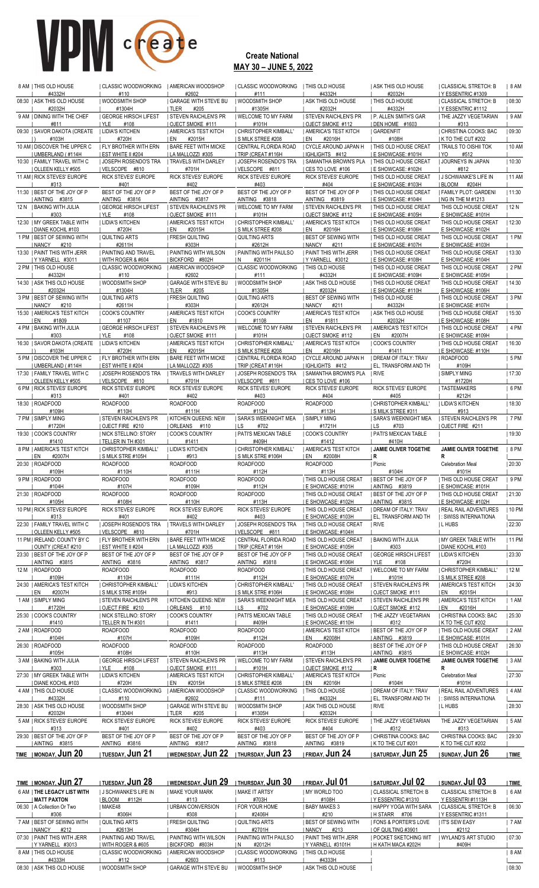| 8 AM I THIS OLD HOUSE<br>#4332H                            | I CLASSIC WOODWORKING<br>#110                        | <b>I AMERICAN WOODSHOP</b><br>#2602                 | I CLASSIC WOODWORKING<br>#111                    | <b>I THIS OLD HOUSE</b><br>#4332H                           | I ASK THIS OLD HOUSE<br>#2032H                          | CLASSICAL STRETCH: B<br>IY ESSENTRIC #1309                  | 8 AM    |
|------------------------------------------------------------|------------------------------------------------------|-----------------------------------------------------|--------------------------------------------------|-------------------------------------------------------------|---------------------------------------------------------|-------------------------------------------------------------|---------|
| 08:30   ASK THIS OLD HOUSE                                 | WOODSMITH SHOP                                       | <b>GARAGE WITH STEVE BU</b>                         | WOODSMITH SHOP                                   | <b>ASK THIS OLD HOUSE</b>                                   | THIS OLD HOUSE                                          | CLASSICAL STRETCH: B                                        | 08:30   |
| #2032H<br>9 AM   DINING WITH THE CHEF                      | #1304H<br><b>GEORGE HIRSCH LIFEST</b>                | I TLER<br>#205<br><b>STEVEN RAICHLEN'S PR</b>       | #1305H<br>I WELCOME TO MY FARM                   | #2032H<br><b>I STEVEN RAICHLEN'S PR</b>                     | #4332H<br><b>I P. ALLEN SMITH'S GAR</b>                 | Y ESSENTRIC #1112<br>  THE JAZZY VEGETARIAN                 | 9AM     |
| #811<br>09:30   SAVOR DAKOTA (CREATE                       | #108<br>I YLE<br><b>LIDIA'S KITCHEN</b>              | OJECT SMOKE #111<br><b>AMERICA'S TEST KITCH</b>     | #101H<br><b>CHRISTOPHER KIMBALL'</b>             | OJECT SMOKE #112<br>  AMERICA'S TEST KITCH                  | DEN HOME #1603<br><b>GARDENFIT</b>                      | #313<br>  CHRISTINA COOKS: BAC                              | 09:30   |
| #103H                                                      | #720H                                                | #2015H<br>EN                                        | IS MILK STREE #208                               | EN<br>#2016H                                                | #108H                                                   | I K TO THE CUT #202                                         |         |
| 10 AM   DISCOVER THE UPPER C<br>  UMBERLAND (#114H         | <b>I FLY BROTHER WITH ERN</b><br>  EST WHITE II #204 | <b>I BARE FEET WITH MICKE</b><br>  LA MALLOZZI #305 | I CENTRAL FLORIDA ROAD<br>  TRIP (CREAT #116H    | I CYCLE AROUND JAPAN H<br>  IGHLIGHTS #412                  | <b>I THIS OLD HOUSE CREAT</b><br>  E SHOWCASE: #101H    | TRAILS TO OISHII TOK<br>I YO<br>#512                        | 10 AM   |
| 10:30   FAMILY TRAVEL WITH C<br><b>I OLLEEN KELLY #505</b> | <b>JOSEPH ROSENDO'S TRA</b><br>VELSCOPE #810         | <b>TRAVELS WITH DARLEY</b><br>#701H                 | <b>JOSEPH ROSENDO'S TRA</b><br>VELSCOPE #811     | I SAMANTHA BROWN'S PLA<br>I CES TO LOVE #106                | <b>I THIS OLD HOUSE CREAT</b><br>I E SHOWCASE: #102H    | <b>JOURNEYS IN JAPAN</b><br>#812                            | 10:30   |
| 11 AM I RICK STEVES' EUROPE                                | RICK STEVES' EUROPE                                  | <b>RICK STEVES' EUROPE</b>                          | <b>RICK STEVES' EUROPE</b>                       | <b>RICK STEVES' EUROPE</b>                                  | I THIS OLD HOUSE CREAT                                  | <b>I J SCHWANKE'S LIFE IN</b>                               | 11 AM   |
| #313<br>11:30 I BEST OF THE JOY OF P                       | #401<br>BEST OF THE JOY OF P                         | #402<br>BEST OF THE JOY OF P                        | #403<br>BEST OF THE JOY OF P                     | #404<br>BEST OF THE JOY OF P                                | I E SHOWCASE: #103H<br><b>I THIS OLD HOUSE CREAT</b>    | I BLOOM<br>#204H<br>I FAMILY PLOT: GARDENI                  | 11:30   |
| AINTING #3815<br>12 N   BAKING WITH JULIA                  | AINTING #3816<br><b>GEORGE HIRSCH LIFEST</b>         | AINTING #3817<br><b>STEVEN RAICHLEN'S PR</b>        | AINTING #3818<br><b>I WELCOME TO MY FARM</b>     | AINTING #3819<br>I STEVEN RAICHLEN'S PR                     | E SHOWCASE: #104H<br><b>I THIS OLD HOUSE CREAT</b>      | NG IN THE M #1213<br>THIS OLD HOUSE CREAT                   | 12 N    |
| #303                                                       | I YLE<br>#108                                        | OJECT SMOKE #111                                    | #101H                                            | OJECT SMOKE #112                                            | E SHOWCASE: #105H                                       | E SHOWCASE: #101H                                           |         |
| 12:30 I MY GREEK TABLE WITH<br><b>DIANE KOCHIL #103</b>    | <b>I LIDIA'S KITCHEN</b><br>#720H                    | AMERICA'S TEST KITCH<br>#2015H<br>I EN              | CHRISTOPHER KIMBALL'<br>S MILK STREE #208        | AMERICA'S TEST KITCH<br>I EN<br>#2016H                      | <b>I THIS OLD HOUSE CREAT</b><br>I E SHOWCASE: #106H    | THIS OLD HOUSE CREAT<br>E SHOWCASE: #102H                   | 12:30   |
| 1 PM   BEST OF SEWING WITH<br><b>NANCY</b><br>#210         | <b>QUILTING ARTS</b><br>#2611H                       | <b>FRESH QUILTING</b><br>#303H                      | <b>QUILTING ARTS</b><br>#2612H                   | I BEST OF SEWING WITH<br>I NANCY<br>#211                    | THIS OLD HOUSE CREAT<br>I E SHOWCASE: #107H             | THIS OLD HOUSE CREAT<br>E SHOWCASE: #103H                   | $ 1$ PM |
| 13:30   PAINT THIS WITH JERR                               | <b>  PAINTING AND TRAVEL</b>                         | <b>I PAINTING WITH WILSON</b>                       | <b>I PAINTING WITH PAULSO</b>                    | <b>  PAINT THIS WITH JERR</b>                               | I THIS OLD HOUSE CREAT                                  | THIS OLD HOUSE CREAT                                        | 13:30   |
| YYARNELL #3011<br>2 PM   THIS OLD HOUSE                    | I WITH ROGER & #604<br>  CLASSIC WOODWORKING         | BICKFORD #802H<br>I AMERICAN WOODSHOP               | #2011H<br>IN.<br>  CLASSIC WOODWORKING           | YYARNELL #3012<br><b>I THIS OLD HOUSE</b>                   | I E SHOWCASE: #108H<br><b>  THIS OLD HOUSE CREAT</b>    | E SHOWCASE: #104H<br>THIS OLD HOUSE CREAT                   | $ 2$ PM |
| #4332H<br>14:30 I ASK THIS OLD HOUSE                       | #110                                                 | #2602                                               | #111                                             | #4332H<br><b>ASK THIS OLD HOUSE</b>                         | I E SHOWCASE: #109H<br>I THIS OLD HOUSE CREAT           | E SHOWCASE: #105H<br>THIS OLD HOUSE CREAT                   |         |
| #2032H                                                     | WOODSMITH SHOP<br>#1304H                             | I GARAGE WITH STEVE BU<br>I TLER<br>#205            | WOODSMITH SHOP<br>#1305H                         | #2032H                                                      | I E SHOWCASE: #110H                                     | E SHOWCASE: #106H                                           | 14:30   |
| 3 PM   BEST OF SEWING WITH<br>NANCY<br>#210                | <b>QUILTING ARTS</b><br>#2611H                       | <b>FRESH QUILTING</b><br>#303H                      | <b>QUILTING ARTS</b><br>#2612H                   | <b>BEST OF SEWING WITH</b><br>NANCY<br>#211                 | THIS OLD HOUSE<br>#4332H                                | THIS OLD HOUSE CREAT<br>E SHOWCASE: #107H                   | 3PM     |
| 15:30   AMERICA'S TEST KITCH                               | <b>COOK'S COUNTRY</b>                                | <b>I AMERICA'S TEST KITCH</b>                       | <b>COOK'S COUNTRY</b>                            | <b>AMERICA'S TEST KITCH</b>                                 | I ASK THIS OLD HOUSE                                    | THIS OLD HOUSE CREAT                                        | 15:30   |
| I EN<br>#1809<br>4 PM   BAKING WITH JULIA                  | #1107<br><b>I GEORGE HIRSCH LIFEST</b>               | I EN<br>#1810<br><b>STEVEN RAICHLEN'S PR</b>        | #1108<br><b>I WELCOME TO MY FARM</b>             | I EN<br>#1811<br><b>STEVEN RAICHLEN'S PR</b>                | #2032H<br>I AMERICA'S TEST KITCH                        | <u>I E SHOWCASE: #108H</u><br><b>I THIS OLD HOUSE CREAT</b> | 4 PM    |
| #303<br>16:30   SAVOR DAKOTA (CREATE                       | <b>IYLE</b><br>#108<br><b>LIDIA'S KITCHEN</b>        | OJECT SMOKE #111<br><b>AMERICA'S TEST KITCH</b>     | #101H<br>  CHRISTOPHER KIMBALL'                  | OJECT SMOKE #112<br>  AMERICA'S TEST KITCH                  | #2007H<br>i en<br><b>COOK'S COUNTRY</b>                 | I E SHOWCASE: #109H<br>  THIS OLD HOUSE CREAT               | 16:30   |
| #103H                                                      | #720H                                                | #2015H<br>EN                                        | I S MILK STREE #208                              | #2016H<br>EN                                                | #1411                                                   | I E SHOWCASE: #110H                                         |         |
| 5 PM   DISCOVER THE UPPER C<br>UMBERLAND (#114H            | <b>I FLY BROTHER WITH ERN</b><br>  EST WHITE II #204 | <b>I BARE FEET WITH MICKE</b><br>  LA MALLOZZI #305 | I CENTRAL FLORIDA ROAD<br>  TRIP (CREAT #116H    | I CYCLE AROUND JAPAN H<br>IGHLIGHTS #412                    | <b>I DREAM OF ITALY: TRAV</b><br>  EL, TRANSFORM AND TH | ROADFOOD<br>#109H                                           | 5 PM    |
| 17:30   FAMILY TRAVEL WITH C<br>  OLLEEN KELLY #505        | JOSEPH ROSENDO'S TRA<br>VELSCOPE #810                | <b>I TRAVELS WITH DARLEY</b><br>#701H               | JOSEPH ROSENDO'S TRA<br>VELSCOPE #811            | SAMANTHA BROWN'S PLA<br>CES TO LOVE #106                    | RIVE                                                    | <b>SIMPLY MING</b><br>#1720H                                | 17:30   |
| 6 PM   RICK STEVES' EUROPE                                 | <b>RICK STEVES' EUROPE</b>                           | RICK STEVES' EUROPE                                 | <b>RICK STEVES' EUROPE</b>                       | <b>RICK STEVES' EUROPE</b>                                  | RICK STEVES' EUROPE                                     | <b>I TASTEMAKERS</b>                                        | 6 PM    |
| #313<br>18:30   ROADFOOD                                   | #401<br><b>ROADFOOD</b>                              | #402<br><b>ROADFOOD</b>                             | #403<br><b>ROADFOOD</b>                          | #404<br><b>ROADFOOD</b>                                     | #405<br>I CHRISTOPHER KIMBALL'                          | #212H<br>  LIDIA'S KITCHEN                                  | 18:30   |
| #109H<br>7 PM   SIMPLY MING                                | #110H<br><b>STEVEN RAICHLEN'S PR</b>                 | #111H<br><b>KITCHEN QUEENS: NEW</b>                 | #112H<br>I SARA'S WEEKNIGHT MEA                  | #113H<br>  SIMPLY MING                                      | S MILK STREE #311<br>I SARA'S WEEKNIGHT MEA             | #913<br><b>I STEVEN RAICHLEN'S PR</b>                       | 7 PM    |
| #1720H<br>19:30   COOK'S COUNTRY                           | OJECT FIRE #210<br>I NICK STELLINO: STORY            | ORLEANS<br>#110<br>I COOK'S COUNTRY                 | #702<br>I LS<br><b>  PATI'S MEXICAN TABLE</b>    | #1721H<br><b>COOK'S COUNTRY</b>                             | ILS<br>#703<br><b>  PATI'S MEXICAN TABLE</b>            | OJECT FIRE #211                                             | 19:30   |
| #1410                                                      | TELLER IN TH#301                                     | #1411                                               | #409H                                            | #1412                                                       | #410H                                                   |                                                             |         |
| 8 PM   AMERICA'S TEST KITCH<br>EN<br>#2007H                | CHRISTOPHER KIMBALL'<br>IS MILK STRE #105H           | <b>LIDIA'S KITCHEN</b><br>#913                      | CHRISTOPHER KIMBALL'<br><b>S MILK STRE #106H</b> | <b>AMERICA'S TEST KITCH</b><br>EN<br>#2008H                 | <b>JAMIE OLIVER TOGETHE</b><br>  R                      | JAMIE OLIVER TOGETHE<br>R                                   | 8 PM    |
| 20:30   ROADFOOD<br>#109H                                  | <b>ROADFOOD</b><br>#110H                             | <b>ROADFOOD</b><br>#111H                            | <b>ROADFOOD</b><br>#112H                         | <b>ROADFOOD</b><br>#113H                                    | Picnic<br>#104H                                         | <b>Celebration Meal</b><br>#101H                            | 20:30   |
| 9 PM   ROADFOOD                                            | ROADFOOD                                             | <b>ROADFOOD</b>                                     | <b>ROADFOOD</b>                                  | <b>I THIS OLD HOUSE CREAT</b>                               | BEST OF THE JOY OF P                                    | THIS OLD HOUSE CREAT                                        | 9PM     |
| #104H<br>21:30   ROADFOOD                                  | #107H<br><b>ROADFOOD</b>                             | #109H<br><b>ROADFOOD</b>                            | #112H<br><b>ROADFOOD</b>                         | <b>I E SHOWCASE: #101H</b><br>  THIS OLD HOUSE CREAT        | AINTING #3819<br>I BEST OF THE JOY OF P                 | <b>I E SHOWCASE: #101H</b><br>  THIS OLD HOUSE CREAT        | 21:30   |
| #105H<br>10 PM   RICK STEVES' EUROPE                       | #108H<br>RICK STEVES' EUROPE                         | #110H<br>RICK STEVES' EUROPE                        | #113H<br>RICK STEVES' EUROPE                     | <b>I E SHOWCASE: #102H</b><br><b>THIS OLD HOUSE CREAT</b>   | AINTING #3815<br>  DREAM OF ITALY: TRAV                 | <b>I E SHOWCASE: #102H</b><br><b>REAL RAIL ADVENTURES</b>   | 10 PM   |
| #313                                                       | #401                                                 | #402                                                | #403                                             | E SHOWCASE: #103H                                           | <b>EL, TRANSFORM AND TH</b>                             | : SWISS INTERNATIONA                                        |         |
| 22:30   FAMILY TRAVEL WITH C<br>OLLEEN KELLY #505          | <b>JOSEPH ROSENDO'S TRA</b><br>VELSCOPE #810         | <b>I TRAVELS WITH DARLEY</b><br>#701H               | <b>JOSEPH ROSENDO'S TRA</b><br>VELSCOPE #811     | THIS OLD HOUSE CREAT<br>E SHOWCASE: #104H                   | RIVE                                                    | L HUBS                                                      | 22:30   |
| 11 PM   IRELAND: COUNTY BY C<br>OUNTY (CREAT #210          | FLY BROTHER WITH ERN<br><b>EST WHITE II #204</b>     | <b>BARE FEET WITH MICKE</b><br>LA MALLOZZI #305     | CENTRAL FLORIDA ROAD<br>TRIP (CREAT #116H        | <b>  THIS OLD HOUSE CREAT</b><br><b>I E SHOWCASE: #105H</b> | <b>BAKING WITH JULIA</b><br>#303                        | MY GREEK TABLE WITH<br>  DIANE KOCHIL #103                  | 11 PM   |
| 23:30   BEST OF THE JOY OF P                               | BEST OF THE JOY OF P                                 | BEST OF THE JOY OF P                                | BEST OF THE JOY OF P                             | <b>I THIS OLD HOUSE CREAT</b>                               | <b>GEORGE HIRSCH LIFEST</b>                             | LIDIA'S KITCHEN                                             | 23:30   |
| AINTING #3815<br>12 M I ROADFOOD                           | AINTING #3816<br>ROADFOOD                            | AINTING #3817<br><b>ROADFOOD</b>                    | AINTING #3818<br><b>ROADFOOD</b>                 | <b>I E SHOWCASE: #106H</b><br>I THIS OLD HOUSE CREAT        | #108<br>I YLE<br>  WELCOME TO MY FARM                   | #720H<br><b>CHRISTOPHER KIMBALL'</b>                        | 12 M    |
| #109H<br>24:30   AMERICA'S TEST KITCH                      | #110H<br>  CHRISTOPHER KIMBALL'                      | #111H<br>  LIDIA'S KITCHEN                          | #112H<br>  CHRISTOPHER KIMBALL'                  | E SHOWCASE: #107H<br>  THIS OLD HOUSE CREAT                 | #101H<br><b>STEVEN RAICHLEN'S PR</b>                    | S MILK STREE #208<br>  AMERICA'S TEST KITCH                 | 24:30   |
| I EN<br>#2007H                                             | <b>S MILK STRE #105H</b>                             | #913                                                | S MILK STRE #106H                                | E SHOWCASE: #108H                                           | OJECT SMOKE #111                                        | #2015H<br>I EN                                              |         |
| 1 AM   SIMPLY MING<br>#1720H                               | STEVEN RAICHLEN'S PR<br>OJECT FIRE #210              | <b>KITCHEN QUEENS: NEW</b><br>ORLEANS #110          | <b>SARA'S WEEKNIGHT MEA</b><br>#702<br>ILS.      | <b>  THIS OLD HOUSE CREAT</b><br><b>E SHOWCASE: #109H</b>   | <b>STEVEN RAICHLEN'S PR</b><br>OJECT SMOKE #112         | AMERICA'S TEST KITCH<br>#2016H<br>I EN                      | 1AM     |
| 25:30   COOK'S COUNTRY<br>#1410                            | NICK STELLINO: STORY<br>TELLER IN TH#301             | <b>COOK'S COUNTRY</b><br>#1411                      | PATI'S MEXICAN TABLE<br>#409H                    | THIS OLD HOUSE CREAT<br><u>I E SHOWCASE: #110H</u>          | THE JAZZY VEGETARIAN<br>#312                            | CHRISTINA COOKS: BAC<br>  K TO THE CUT #202                 | 25:30   |
| 2 AM   ROADFOOD                                            | ROADFOOD                                             | <b>ROADFOOD</b>                                     | <b>ROADFOOD</b>                                  | AMERICA'S TEST KITCH                                        | <b>BEST OF THE JOY OF P</b>                             | THIS OLD HOUSE CREAT                                        | 2AM     |
| #104H<br>26:30   ROADFOOD                                  | #107H<br><b>ROADFOOD</b>                             | #109H<br><b>ROADFOOD</b>                            | #112H<br><b>ROADFOOD</b>                         | #2008H<br>I EN<br><b>ROADFOOD</b>                           | AINTING #3819<br><b>BEST OF THE JOY OF P</b>            | <b>E SHOWCASE: #101H</b><br>  THIS OLD HOUSE CREAT          | 26:30   |
| #105H<br>3 AM   BAKING WITH JULIA                          | #108H<br><b>GEORGE HIRSCH LIFEST</b>                 | #110H<br><b>STEVEN RAICHLEN'S PR</b>                | #113H<br>  WELCOME TO MY FARM                    | #113H<br><b>STEVEN RAICHLEN'S PR</b>                        | AINTING #3815<br>  JAMIE OLIVER TOGETHE                 | E SHOWCASE: #102H<br>JAMIE OLIVER TOGETHE                   | 3AM     |
| #303                                                       | YLE<br>#108                                          | OJECT SMOKE #111                                    | #101H                                            | OJECT SMOKE #112                                            | $\overline{R}$                                          | R                                                           |         |
| 27:30   MY GREEK TABLE WITH<br><b>DIANE KOCHIL #103</b>    | LIDIA'S KITCHEN<br>#720H                             | AMERICA'S TEST KITCH<br>I EN<br>#2015H              | CHRISTOPHER KIMBALL'<br><b>SMILK STREE #208</b>  | AMERICA'S TEST KITCH<br>EN<br>#2016H                        | Picnic<br>#104H                                         | <b>Celebration Meal</b><br>#101H                            | 27:30   |
| 4 AM   THIS OLD HOUSE<br>#4332H                            | <b>CLASSIC WOODWORKING</b><br>#110                   | AMERICAN WOODSHOP<br>#2602                          | CLASSIC WOODWORKING<br>#111                      | THIS OLD HOUSE<br>#4332H                                    | DREAM OF ITALY: TRAV                                    | <b>REAL RAIL ADVENTURES</b>                                 | 4AM     |
| 28:30   ASK THIS OLD HOUSE                                 | WOODSMITH SHOP                                       | <b>GARAGE WITH STEVE BU</b>                         | WOODSMITH SHOP                                   | <b>ASK THIS OLD HOUSE</b>                                   | <u>I</u> EL, TRANSFORM AND TH<br>  RIVE                 | : SWISS INTERNATIONA<br>  L HUBS                            | 28:30   |
| #2032H<br>5 AM   RICK STEVES' EUROPE                       | #1304H<br>RICK STEVES' EUROPE                        | TLER<br>#205<br>RICK STEVES' EUROPE                 | #1305H<br>RICK STEVES' EUROPE                    | #2032H<br>RICK STEVES' EUROPE                               | THE JAZZY VEGETARIAN                                    | THE JAZZY VEGETARIAN                                        | 5 AM    |
| #313<br>29:30   BEST OF THE JOY OF P                       | #401<br>BEST OF THE JOY OF P                         | #402<br>BEST OF THE JOY OF P                        | #403<br>BEST OF THE JOY OF P                     | #404<br>BEST OF THE JOY OF P                                | #312<br>  CHRISTINA COOKS: BAC                          | #313<br>CHRISTINA COOKS: BAC                                | 29:30   |
| AINTING #3815                                              | AINTING #3816                                        | AINTING #3817                                       | AINTING #3818                                    | AINTING #3819                                               | K TO THE CUT #201                                       | K TO THE CUT #202                                           |         |
| TIME   MONDAY, Jun 20                                      | I TUESDAY, Jun 21                                    | I WEDNESDAY, Jun 22                                 | I THURSDAY, Jun 23                               | <b>FRIDAY, Jun 24</b>                                       | <b>I SATURDAY, Jun 25</b>                               | I SUNDAY, <b>Jun 26</b>                                     | TIME    |
|                                                            |                                                      |                                                     |                                                  |                                                             |                                                         |                                                             |         |

| <b>TIME   MONDAY, JUN 27</b> | TUESDAY, <b>JUN 28</b> | I WEDNESDAY, JUN 29           | thursday, <b>Jun 30</b> | friday, <b>Jul 01</b>  | <b>I SATURDAY, Jul 02</b> | I SUNDAY, <b>Jul 03</b>     | TIME   |
|------------------------------|------------------------|-------------------------------|-------------------------|------------------------|---------------------------|-----------------------------|--------|
| 6 AM I THE LEGACY LIST WITH  | I J SCHWANKE'S LIFE IN | I MAKE YOUR MARK              | I MAKE IT ARTSY         | I MY WORLD TOO         | I CLASSICAL STRETCH: B    | <b>CLASSICAL STRETCH: B</b> | 6 AM   |
| <b>I MATT PAXTON</b>         | IBLOOM #112H           | #113                          | #703H                   | #108H                  | I Y ESSENTRIC #1310       | Y ESSENTRI#1113H            |        |
| 06:30   A Collection Or Two  | I MAKE48               | I URBAN CONVERSION            | I FOR YOUR HOME         | I BABY MAKES 3         | I HAPPY YOGA WITH SARA    | I CLASSICAL STRETCH: B      | 106:30 |
| #306                         | #306H                  | #308                          | #2406H                  | #210                   | IHSTARR #706              | I Y ESSENTRIC #1311         |        |
| 7 AM I BEST OF SEWING WITH   | I QUILTING ARTS        | I FRESH QUILTING              | QUILTING ARTS           | I BEST OF SEWING WITH  | I FONS & PORTER'S LOVE    | <b>I IT'S SEW EASY</b>      | 7 AM   |
| INANCY #212                  | #2613H                 | #304H                         | #2701H                  | I NANCY<br>#213        | I OF QUILTING #3901       | #2112                       |        |
| 07:30 I PAINT THIS WITH JERR | I PAINTING AND TRAVEL  | <b>I PAINTING WITH WILSON</b> | I PAINTING WITH PAULSO  | I PAINT THIS WITH JERR | I POCKET SKETCHING WIT    | I WYLAND'S ART STUDIO       | 107:30 |
| Y YARNELL #3013              | I WITH ROGER & #605    | BICKFORD #803H                | #2012H<br>N.            | Y YARNELL #3101H       | H KATH MACA #202H         | #409H                       |        |
| 8 AM I THIS OLD HOUSE        | I CLASSIC WOODWORKING  | I AMERICAN WOODSHOP           | I CLASSIC WOODWORKING   | THIS OLD HOUSE         |                           |                             | 8 AM   |
| #4333H                       | #112                   | #2603                         | #113                    | #4333H                 |                           |                             |        |
| 08:30 I ASK THIS OLD HOUSE   | I WOODSMITH SHOP       | I GARAGE WITH STEVE BU        | <b>WOODSMITH SHOP</b>   | I ASK THIS OLD HOUSE   |                           |                             | 108:30 |